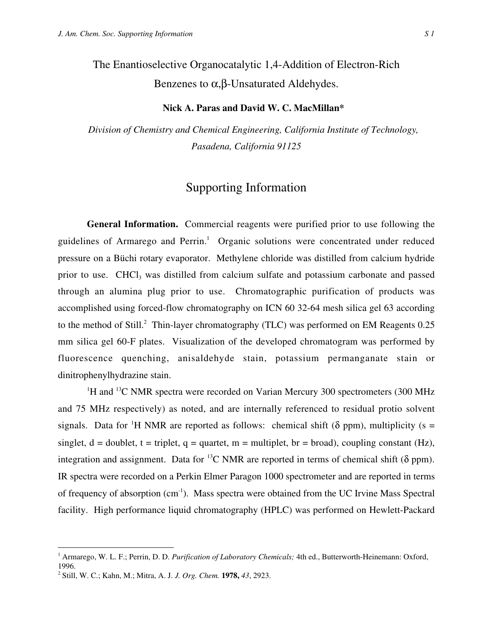The Enantioselective Organocatalytic 1,4-Addition of Electron-Rich Benzenes to  $\alpha$ , β-Unsaturated Aldehydes.

## **Nick A. Paras and David W. C. MacMillan\***

*Division of Chemistry and Chemical Engineering, California Institute of Technology, Pasadena, California 91125*

## Supporting Information

**General Information.** Commercial reagents were purified prior to use following the guidelines of Armarego and Perrin.<sup>1</sup> Organic solutions were concentrated under reduced pressure on a Büchi rotary evaporator. Methylene chloride was distilled from calcium hydride prior to use. CHCl<sub>3</sub> was distilled from calcium sulfate and potassium carbonate and passed through an alumina plug prior to use. Chromatographic purification of products was accomplished using forced-flow chromatography on ICN 60 32-64 mesh silica gel 63 according to the method of Still.<sup>2</sup> Thin-layer chromatography (TLC) was performed on EM Reagents 0.25 mm silica gel 60-F plates. Visualization of the developed chromatogram was performed by fluorescence quenching, anisaldehyde stain, potassium permanganate stain or dinitrophenylhydrazine stain.

<sup>1</sup>H and <sup>13</sup>C NMR spectra were recorded on Varian Mercury 300 spectrometers (300 MHz and 75 MHz respectively) as noted, and are internally referenced to residual protio solvent signals. Data for <sup>1</sup>H NMR are reported as follows: chemical shift ( $\delta$  ppm), multiplicity (s = singlet,  $d =$  doublet,  $t =$  triplet,  $q =$  quartet,  $m =$  multiplet,  $br =$  broad), coupling constant (Hz), integration and assignment. Data for <sup>13</sup>C NMR are reported in terms of chemical shift ( $\delta$  ppm). IR spectra were recorded on a Perkin Elmer Paragon 1000 spectrometer and are reported in terms of frequency of absorption (cm-1). Mass spectra were obtained from the UC Irvine Mass Spectral facility. High performance liquid chromatography (HPLC) was performed on Hewlett-Packard

<sup>|&</sup>lt;br>|<br>| <sup>1</sup> Armarego, W. L. F.; Perrin, D. D. *Purification of Laboratory Chemicals*; 4th ed., Butterworth-Heinemann: Oxford, 1996.

<sup>2</sup> Still, W. C.; Kahn, M.; Mitra, A. J. *J. Org. Chem.* **1978,** *43*, 2923.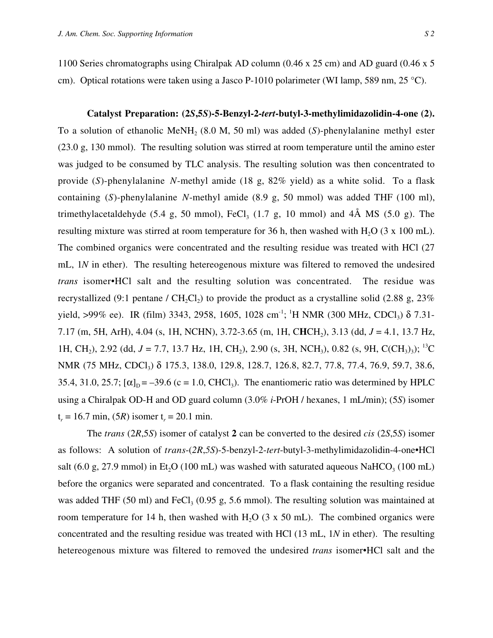1100 Series chromatographs using Chiralpak AD column (0.46 x 25 cm) and AD guard (0.46 x 5 cm). Optical rotations were taken using a Jasco P-1010 polarimeter (WI lamp, 589 nm, 25 °C).

**Catalyst Preparation: (2***S***,5***S***)-5-Benzyl-2-***tert***-butyl-3-methylimidazolidin-4-one (2).** To a solution of ethanolic MeNH<sub>2</sub> (8.0 M, 50 ml) was added (*S*)-phenylalanine methyl ester (23.0 g, 130 mmol). The resulting solution was stirred at room temperature until the amino ester was judged to be consumed by TLC analysis. The resulting solution was then concentrated to provide (*S*)-phenylalanine *N*-methyl amide (18 g, 82% yield) as a white solid. To a flask containing (*S*)-phenylalanine *N*-methyl amide (8.9 g, 50 mmol) was added THF (100 ml), trimethylacetaldehyde (5.4 g, 50 mmol), FeCl<sub>3</sub> (1.7 g, 10 mmol) and  $4\text{\AA}$  MS (5.0 g). The resulting mixture was stirred at room temperature for 36 h, then washed with  $H_2O$  (3 x 100 mL). The combined organics were concentrated and the resulting residue was treated with HCl (27 mL, 1*N* in ether). The resulting hetereogenous mixture was filtered to removed the undesired *trans* isomer•HCl salt and the resulting solution was concentrated. The residue was recrystallized (9:1 pentane / CH<sub>2</sub>Cl<sub>2</sub>) to provide the product as a crystalline solid (2.88 g, 23%) yield, >99% ee). IR (film) 3343, 2958, 1605, 1028 cm<sup>-1</sup>; <sup>1</sup>H NMR (300 MHz, CDCl<sub>3</sub>)  $\delta$  7.31-7.17 (m, 5H, ArH), 4.04 (s, 1H, NCHN), 3.72-3.65 (m, 1H, CHCH<sub>2</sub>), 3.13 (dd, *J* = 4.1, 13.7 Hz, 1H, CH<sub>2</sub>), 2.92 (dd,  $J = 7.7$ , 13.7 Hz, 1H, CH<sub>2</sub>), 2.90 (s, 3H, NCH<sub>3</sub>), 0.82 (s, 9H, C(CH<sub>3</sub>)<sub>3</sub>); <sup>13</sup>C NMR (75 MHz, CDCl<sub>3</sub>) δ 175.3, 138.0, 129.8, 128.7, 126.8, 82.7, 77.8, 77.4, 76.9, 59.7, 38.6, 35.4, 31.0, 25.7;  $[\alpha]_D = -39.6$  (c = 1.0, CHCl<sub>3</sub>). The enantiomeric ratio was determined by HPLC using a Chiralpak OD-H and OD guard column (3.0% *i*-PrOH / hexanes, 1 mL/min); (5*S*) isomer  $t_r = 16.7$  min,  $(5R)$  isomer  $t_r = 20.1$  min.

The *trans* (2*R*,5*S*) isomer of catalyst **2** can be converted to the desired *cis* (2*S*,5*S*) isomer as follows: A solution of *trans*-(*2R*,*5S*)-5-benzyl-2-*tert*-butyl-3-methylimidazolidin-4-one•HCl salt (6.0 g, 27.9 mmol) in Et<sub>2</sub>O (100 mL) was washed with saturated aqueous NaHCO<sub>3</sub> (100 mL) before the organics were separated and concentrated. To a flask containing the resulting residue was added THF (50 ml) and FeCl<sub>3</sub> (0.95 g, 5.6 mmol). The resulting solution was maintained at room temperature for 14 h, then washed with H<sub>2</sub>O (3 x 50 mL). The combined organics were concentrated and the resulting residue was treated with HCl (13 mL, 1*N* in ether). The resulting hetereogenous mixture was filtered to removed the undesired *trans* isomer•HCl salt and the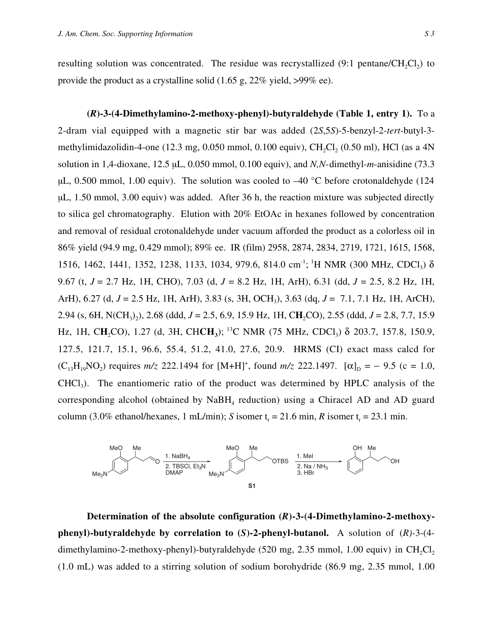resulting solution was concentrated. The residue was recrystallized  $(9:1 \text{ pentane}/CH_2Cl_2)$  to provide the product as a crystalline solid (1.65 g, 22% yield, >99% ee).

**(***R***)-3-(4-Dimethylamino-2-methoxy-phenyl)-butyraldehyde (Table 1, entry 1).** To a 2-dram vial equipped with a magnetic stir bar was added (2*S*,5*S*)-5-benzyl-2-*tert*-butyl-3 methylimidazolidin-4-one (12.3 mg, 0.050 mmol, 0.100 equiv),  $CH_2Cl_2$  (0.50 ml), HCl (as a 4N solution in 1,4-dioxane, 12.5 µL, 0.050 mmol, 0.100 equiv), and *N,N-*dimethyl-*m*-anisidine (73.3  $\mu$ L, 0.500 mmol, 1.00 equiv). The solution was cooled to -40 °C before crotonaldehyde (124 µL, 1.50 mmol, 3.00 equiv) was added. After 36 h, the reaction mixture was subjected directly to silica gel chromatography. Elution with 20% EtOAc in hexanes followed by concentration and removal of residual crotonaldehyde under vacuum afforded the product as a colorless oil in 86% yield (94.9 mg, 0.429 mmol); 89% ee. IR (film) 2958, 2874, 2834, 2719, 1721, 1615, 1568, 1516, 1462, 1441, 1352, 1238, 1133, 1034, 979.6, 814.0 cm<sup>-1</sup>; <sup>1</sup>H NMR (300 MHz, CDCl<sub>3</sub>) δ 9.67 (t, *J* = 2.7 Hz, 1H, CHO), 7.03 (d, *J* = 8.2 Hz, 1H, ArH), 6.31 (dd, *J* = 2.5, 8.2 Hz, 1H, ArH), 6.27 (d, *J* = 2.5 Hz, 1H, ArH), 3.83 (s, 3H, OCH3), 3.63 (dq, *J* = 7.1, 7.1 Hz, 1H, ArCH), 2.94 (s, 6H, N(CH<sub>3</sub>)<sub>2</sub>), 2.68 (ddd, *J* = 2.5, 6.9, 15.9 Hz, 1H, CH<sub>2</sub>CO), 2.55 (ddd, *J* = 2.8, 7.7, 15.9 Hz, 1H, CH<sub>2</sub>CO), 1.27 (d, 3H, CHCH<sub>3</sub>); <sup>13</sup>C NMR (75 MHz, CDCl<sub>3</sub>) δ 203.7, 157.8, 150.9, 127.5, 121.7, 15.1, 96.6, 55.4, 51.2, 41.0, 27.6, 20.9. HRMS (CI) exact mass calcd for  $(C_{13}H_{19}NO_2)$  requires  $m/z$  222.1494 for  $[M+H]^+$ , found  $m/z$  222.1497.  $[\alpha]_D = -9.5$  (c = 1.0,  $CHCl<sub>3</sub>$ ). The enantiomeric ratio of the product was determined by HPLC analysis of the corresponding alcohol (obtained by  $NABH_4$  reduction) using a Chiracel AD and AD guard column (3.0% ethanol/hexanes, 1 mL/min); *S* isomer t<sub>r</sub> = 21.6 min, *R* isomer t<sub>r</sub> = 23.1 min.



**Determination of the absolute configuration (***R***)-3-(4-Dimethylamino-2-methoxyphenyl)-butyraldehyde by correlation to (***S***)-2-phenyl-butanol.** A solution of (*R)-*3-(4 dimethylamino-2-methoxy-phenyl)-butyraldehyde  $(520 \text{ mg}, 2.35 \text{ mmol}, 1.00 \text{ equiv})$  in CH<sub>2</sub>Cl<sub>2</sub> (1.0 mL) was added to a stirring solution of sodium borohydride (86.9 mg, 2.35 mmol, 1.00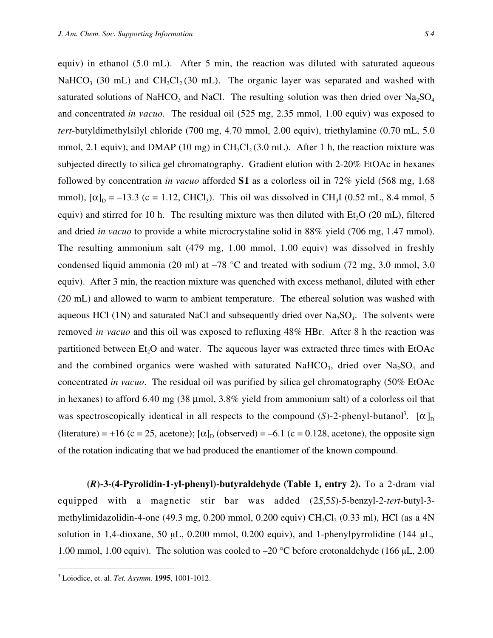equiv) in ethanol (5.0 mL). After 5 min, the reaction was diluted with saturated aqueous NaHCO<sub>3</sub> (30 mL) and CH<sub>2</sub>Cl<sub>2</sub> (30 mL). The organic layer was separated and washed with saturated solutions of NaHCO<sub>3</sub> and NaCl. The resulting solution was then dried over  $Na<sub>2</sub>SO<sub>4</sub>$ and concentrated *in vacuo.* The residual oil (525 mg, 2.35 mmol, 1.00 equiv) was exposed to *tert*-butyldimethylsilyl chloride (700 mg, 4.70 mmol, 2.00 equiv), triethylamine (0.70 mL, 5.0 mmol, 2.1 equiv), and DMAP (10 mg) in CH<sub>2</sub>Cl<sub>2</sub> (3.0 mL). After 1 h, the reaction mixture was subjected directly to silica gel chromatography. Gradient elution with 2-20% EtOAc in hexanes followed by concentration *in vacuo* afforded **S1** as a colorless oil in 72% yield (568 mg, 1.68 mmol),  $[\alpha]_D = -13.3$  (c = 1.12, CHCl<sub>3</sub>). This oil was dissolved in CH<sub>3</sub>I (0.52 mL, 8.4 mmol, 5 equiv) and stirred for 10 h. The resulting mixture was then diluted with Et<sub>2</sub>O (20 mL), filtered and dried *in vacuo* to provide a white microcrystaline solid in 88% yield (706 mg, 1.47 mmol). The resulting ammonium salt (479 mg, 1.00 mmol, 1.00 equiv) was dissolved in freshly condensed liquid ammonia (20 ml) at  $-78$  °C and treated with sodium (72 mg, 3.0 mmol, 3.0 equiv). After 3 min, the reaction mixture was quenched with excess methanol, diluted with ether (20 mL) and allowed to warm to ambient temperature. The ethereal solution was washed with aqueous HCl (1N) and saturated NaCl and subsequently dried over  $Na<sub>2</sub>SO<sub>4</sub>$ . The solvents were removed *in vacuo* and this oil was exposed to refluxing 48% HBr. After 8 h the reaction was partitioned between  $Et<sub>2</sub>O$  and water. The aqueous layer was extracted three times with  $EtOAc$ and the combined organics were washed with saturated NaHCO<sub>3</sub>, dried over  $Na<sub>2</sub>SO<sub>4</sub>$  and concentrated *in vacuo*. The residual oil was purified by silica gel chromatography (50% EtOAc in hexanes) to afford 6.40 mg  $(38 \mu \text{mol}, 3.8\% \text{ yield from ammonium salt})$  of a colorless oil that was spectroscopically identical in all respects to the compound  $(S)$ -2-phenyl-butanol<sup>3</sup>. [ $\alpha$ ]<sub>D</sub> (literature) = +16 (c = 25, acetone);  $[\alpha]_D$  (observed) = -6.1 (c = 0.128, acetone), the opposite sign of the rotation indicating that we had produced the enantiomer of the known compound.

**(***R***)-3-(4-Pyrolidin-1-yl-phenyl)-butyraldehyde (Table 1, entry 2).** To a 2-dram vial equipped with a magnetic stir bar was added (2*S*,5*S*)-5-benzyl-2-*tert*-butyl-3 methylimidazolidin-4-one (49.3 mg, 0.200 mmol, 0.200 equiv)  $CH_2Cl_2$  (0.33 ml), HCl (as a 4N solution in 1,4-dioxane, 50 µL, 0.200 mmol, 0.200 equiv), and 1-phenylpyrrolidine (144 µL, 1.00 mmol, 1.00 equiv). The solution was cooled to –20 °C before crotonaldehyde (166 µL, 2.00

<sup>&</sup>lt;sup>3</sup> Loiodice, et. al. *Tet. Asymm.* **1995**, 1001-1012.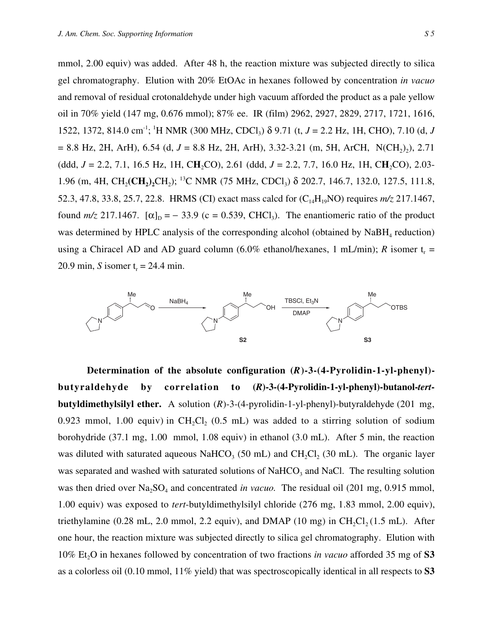mmol, 2.00 equiv) was added. After 48 h, the reaction mixture was subjected directly to silica gel chromatography. Elution with 20% EtOAc in hexanes followed by concentration *in vacuo* and removal of residual crotonaldehyde under high vacuum afforded the product as a pale yellow oil in 70% yield (147 mg, 0.676 mmol); 87% ee. IR (film) 2962, 2927, 2829, 2717, 1721, 1616, 1522, 1372, 814.0 cm-1; 1 H NMR (300 MHz, CDCl3) δ 9.71 (t, *J* = 2.2 Hz, 1H, CHO), 7.10 (d, *J*  $= 8.8$  Hz, 2H, ArH), 6.54 (d,  $J = 8.8$  Hz, 2H, ArH), 3.32-3.21 (m, 5H, ArCH, N(CH<sub>2</sub>)<sub>2</sub>), 2.71 (ddd,  $J = 2.2, 7.1, 16.5$  Hz, 1H, CH<sub>2</sub>CO), 2.61 (ddd,  $J = 2.2, 7.7, 16.0$  Hz, 1H, CH<sub>2</sub>CO), 2.03-1.96 (m, 4H, CH<sub>2</sub>(CH<sub>2</sub>)<sub>2</sub>CH<sub>2</sub>); <sup>13</sup>C NMR (75 MHz, CDCl<sub>3</sub>) δ 202.7, 146.7, 132.0, 127.5, 111.8, 52.3, 47.8, 33.8, 25.7, 22.8. HRMS (CI) exact mass calcd for (C<sub>14</sub>H<sub>19</sub>NO) requires *m/z* 217.1467, found  $m/z$  217.1467.  $[\alpha]_D = -33.9$  (c = 0.539, CHCl<sub>3</sub>). The enantiomeric ratio of the product was determined by HPLC analysis of the corresponding alcohol (obtained by NaBH<sub>4</sub> reduction) using a Chiracel AD and AD guard column  $(6.0\%$  ethanol/hexanes, 1 mL/min); *R* isomer t<sub>r</sub> = 20.9 min, *S* isomer  $t_r = 24.4$  min.



**Determination of the absolute configuration (***R***)-3-(4-Pyrolidin-1-yl-phenyl) butyraldehyde by correlation to (***R***)-3-(4-Pyrolidin-1-yl-phenyl)-butanol-***tert***butyldimethylsilyl ether.** A solution (*R*)-3-(4-pyrolidin-1-yl-phenyl)-butyraldehyde (201 mg, 0.923 mmol, 1.00 equiv) in CH<sub>2</sub>Cl<sub>2</sub> (0.5 mL) was added to a stirring solution of sodium borohydride (37.1 mg, 1.00 mmol, 1.08 equiv) in ethanol (3.0 mL). After 5 min, the reaction was diluted with saturated aqueous NaHCO<sub>3</sub> (50 mL) and CH<sub>2</sub>Cl<sub>2</sub> (30 mL). The organic layer was separated and washed with saturated solutions of NaHCO<sub>3</sub> and NaCl. The resulting solution was then dried over Na<sub>2</sub>SO<sub>4</sub> and concentrated *in vacuo*. The residual oil (201 mg, 0.915 mmol, 1.00 equiv) was exposed to *tert*-butyldimethylsilyl chloride (276 mg, 1.83 mmol, 2.00 equiv), triethylamine  $(0.28 \text{ mL}, 2.0 \text{ mmol}, 2.2 \text{ equiv})$ , and DMAP  $(10 \text{ mg})$  in CH<sub>2</sub>Cl<sub>2</sub> $(1.5 \text{ mL})$ . After one hour, the reaction mixture was subjected directly to silica gel chromatography. Elution with 10% Et<sub>2</sub>O in hexanes followed by concentration of two fractions *in vacuo* afforded 35 mg of S3 as a colorless oil (0.10 mmol, 11% yield) that was spectroscopically identical in all respects to **S3**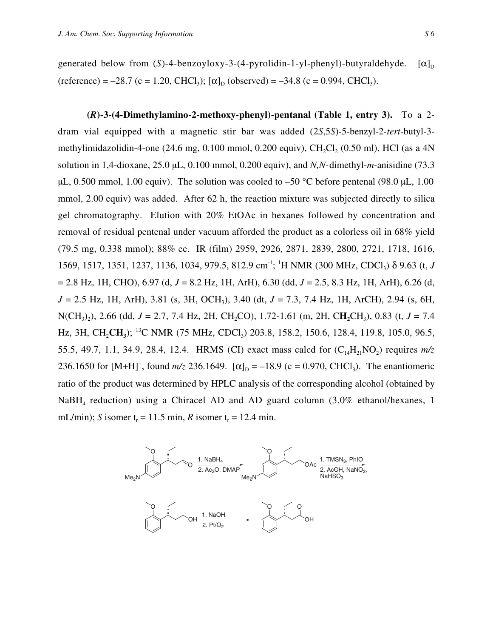generated below from (*S*)-4-benzoyloxy-3-(4-pyrolidin-1-yl-phenyl)-butyraldehyde.  $[\alpha]_D$ (reference) = –28.7 (c = 1.20, CHCl<sub>3</sub>);  $[\alpha]_D$  (observed) = –34.8 (c = 0.994, CHCl<sub>3</sub>).

**(***R***)-3-(4-Dimethylamino-2-methoxy-phenyl)-pentanal (Table 1, entry 3).** To a 2 dram vial equipped with a magnetic stir bar was added (2*S*,5*S*)-5-benzyl-2-*tert*-butyl-3 methylimidazolidin-4-one  $(24.6 \text{ mg}, 0.100 \text{ mmol}, 0.200 \text{ equiv})$ , CH<sub>2</sub>Cl<sub>2</sub>  $(0.50 \text{ ml})$ , HCl (as a 4N solution in 1,4-dioxane, 25.0 µL, 0.100 mmol, 0.200 equiv), and *N,N-*dimethyl-*m*-anisidine (73.3  $\mu$ L, 0.500 mmol, 1.00 equiv). The solution was cooled to –50 °C before pentenal (98.0  $\mu$ L, 1.00 mmol, 2.00 equiv) was added. After 62 h, the reaction mixture was subjected directly to silica gel chromatography. Elution with 20% EtOAc in hexanes followed by concentration and removal of residual pentenal under vacuum afforded the product as a colorless oil in 68% yield (79.5 mg, 0.338 mmol); 88% ee. IR (film) 2959, 2926, 2871, 2839, 2800, 2721, 1718, 1616, 1569, 1517, 1351, 1237, 1136, 1034, 979.5, 812.9 cm<sup>-1</sup>; <sup>1</sup>H NMR (300 MHz, CDCl<sub>3</sub>) δ 9.63 (t, *J* = 2.8 Hz, 1H, CHO), 6.97 (d, *J* = 8.2 Hz, 1H, ArH), 6.30 (dd, *J* = 2.5, 8.3 Hz, 1H, ArH), 6.26 (d, *J* = 2.5 Hz, 1H, ArH), 3.81 (s, 3H, OCH<sub>3</sub>), 3.40 (dt, *J* = 7.3, 7.4 Hz, 1H, ArCH), 2.94 (s, 6H, N(CH<sub>3</sub>), 2.66 (dd, *J* = 2.7, 7.4 Hz, 2H, CH<sub>2</sub>CO), 1.72-1.61 (m, 2H, CH<sub>2</sub>CH<sub>3</sub>), 0.83 (t, *J* = 7.4 Hz, 3H, CH<sub>2</sub>CH<sub>3</sub>); <sup>13</sup>C NMR (75 MHz, CDCl<sub>3</sub>) 203.8, 158.2, 150.6, 128.4, 119.8, 105.0, 96.5, 55.5, 49.7, 1.1, 34.9, 28.4, 12.4. HRMS (CI) exact mass calcd for  $(C_{14}H_{21}NO_2)$  requires  $m/z$ 236.1650 for  $[M+H]^+$ , found  $m/z$  236.1649.  $[\alpha]_D = -18.9$  (c = 0.970, CHCl<sub>3</sub>). The enantiomeric ratio of the product was determined by HPLC analysis of the corresponding alcohol (obtained by NaBH<sub>4</sub> reduction) using a Chiracel AD and AD guard column (3.0% ethanol/hexanes, 1 mL/min); *S* isomer  $t_r = 11.5$  min, *R* isomer  $t_r = 12.4$  min.

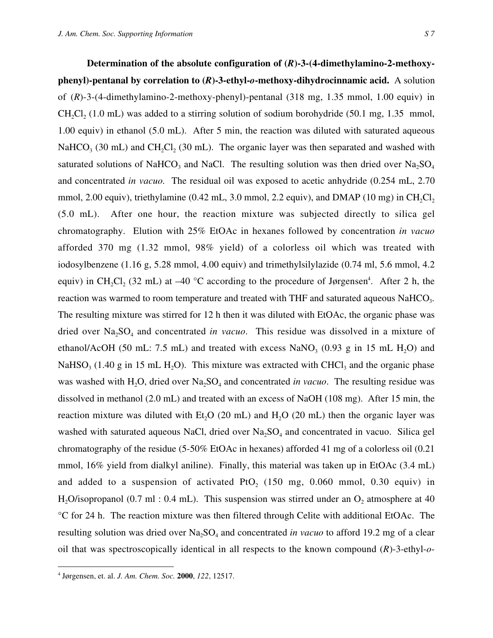**Determination of the absolute configuration of (***R***)-3-(4-dimethylamino-2-methoxyphenyl)-pentanal by correlation to (***R***)-3-ethyl-***o***-methoxy-dihydrocinnamic acid.** A solution of (*R*)-3-(4-dimethylamino-2-methoxy-phenyl)-pentanal (318 mg, 1.35 mmol, 1.00 equiv) in CH<sub>2</sub>Cl<sub>2</sub> (1.0 mL) was added to a stirring solution of sodium borohydride (50.1 mg, 1.35 mmol, 1.00 equiv) in ethanol (5.0 mL). After 5 min, the reaction was diluted with saturated aqueous NaHCO<sub>3</sub> (30 mL) and CH<sub>2</sub>Cl<sub>2</sub> (30 mL). The organic layer was then separated and washed with saturated solutions of NaHCO<sub>3</sub> and NaCl. The resulting solution was then dried over Na<sub>2</sub>SO<sub>4</sub> and concentrated *in vacuo.* The residual oil was exposed to acetic anhydride (0.254 mL, 2.70 mmol, 2.00 equiv), triethylamine  $(0.42 \text{ mL}, 3.0 \text{ mmol}, 2.2 \text{ equiv})$ , and DMAP  $(10 \text{ mg})$  in CH<sub>2</sub>Cl<sub>2</sub> (5.0 mL). After one hour, the reaction mixture was subjected directly to silica gel chromatography. Elution with 25% EtOAc in hexanes followed by concentration *in vacuo* afforded 370 mg (1.32 mmol, 98% yield) of a colorless oil which was treated with iodosylbenzene (1.16 g, 5.28 mmol, 4.00 equiv) and trimethylsilylazide (0.74 ml, 5.6 mmol, 4.2 equiv) in CH<sub>2</sub>Cl<sub>2</sub> (32 mL) at –40 °C according to the procedure of Jørgensen<sup>4</sup>. After 2 h, the reaction was warmed to room temperature and treated with THF and saturated aqueous NaHCO<sub>3</sub>. The resulting mixture was stirred for 12 h then it was diluted with EtOAc, the organic phase was dried over Na<sub>2</sub>SO<sub>4</sub> and concentrated *in vacuo*. This residue was dissolved in a mixture of ethanol/AcOH (50 mL: 7.5 mL) and treated with excess NaNO<sub>3</sub> (0.93 g in 15 mL H<sub>2</sub>O) and NaHSO<sub>3</sub> (1.40 g in 15 mL H<sub>2</sub>O). This mixture was extracted with CHCl<sub>3</sub> and the organic phase was washed with H<sub>2</sub>O, dried over Na<sub>2</sub>SO<sub>4</sub> and concentrated *in vacuo*. The resulting residue was dissolved in methanol (2.0 mL) and treated with an excess of NaOH (108 mg). After 15 min, the reaction mixture was diluted with Et<sub>2</sub>O (20 mL) and H<sub>2</sub>O (20 mL) then the organic layer was washed with saturated aqueous NaCl, dried over  $Na<sub>2</sub>SO<sub>4</sub>$  and concentrated in vacuo. Silica gel chromatography of the residue (5-50% EtOAc in hexanes) afforded 41 mg of a colorless oil (0.21 mmol, 16% yield from dialkyl aniline). Finally, this material was taken up in EtOAc (3.4 mL) and added to a suspension of activated PtO<sub>2</sub> (150 mg, 0.060 mmol, 0.30 equiv) in H<sub>2</sub>O/isopropanol (0.7 ml : 0.4 mL). This suspension was stirred under an  $O_2$  atmosphere at 40 °C for 24 h. The reaction mixture was then filtered through Celite with additional EtOAc. The resulting solution was dried over Na<sub>2</sub>SO<sub>4</sub> and concentrated *in vacuo* to afford 19.2 mg of a clear oil that was spectroscopically identical in all respects to the known compound (*R*)-3-ethyl-*o*-

 <sup>4</sup> Jørgensen, et. al. *J. Am. Chem. Soc.* **2000**, *122*, 12517.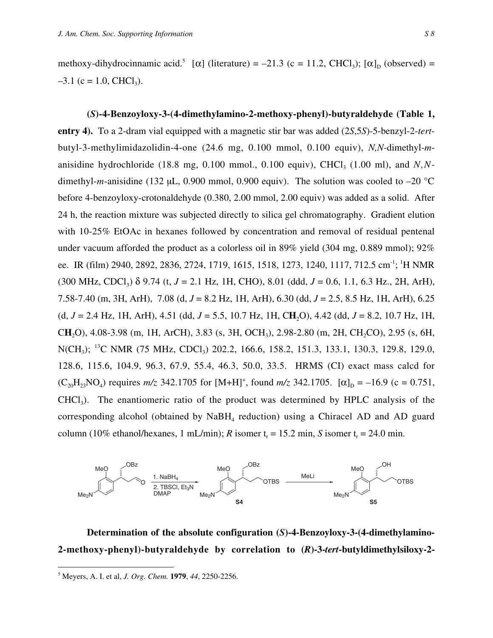methoxy-dihydrocinnamic acid.<sup>5</sup> [ $\alpha$ ] (literature) = -21.3 (c = 11.2, CHCl<sub>3</sub>); [ $\alpha$ ]<sub>D</sub> (observed) =  $-3.1$  (c = 1.0, CHCl<sub>3</sub>).

**(***S***)-4-Benzoyloxy-3-(4-dimethylamino-2-methoxy-phenyl)-butyraldehyde (Table 1, entry 4).** To a 2-dram vial equipped with a magnetic stir bar was added (2*S*,5*S*)-5-benzyl-2-*tert*butyl-3-methylimidazolidin-4-one (24.6 mg, 0.100 mmol, 0.100 equiv), *N,N-*dimethyl-*m*anisidine hydrochloride  $(18.8 \text{ mg}, 0.100 \text{ mmol}, 0.100 \text{ equiv})$ , CHCl<sub>3</sub>  $(1.00 \text{ ml})$ , and *N,N*dimethyl-*m*-anisidine (132 µL, 0.900 mmol, 0.900 equiv). The solution was cooled to  $-20$  °C before 4-benzoyloxy-crotonaldehyde (0.380, 2.00 mmol, 2.00 equiv) was added as a solid. After 24 h, the reaction mixture was subjected directly to silica gel chromatography. Gradient elution with 10-25% EtOAc in hexanes followed by concentration and removal of residual pentenal under vacuum afforded the product as a colorless oil in 89% yield (304 mg, 0.889 mmol); 92% ee. IR (film) 2940, 2892, 2836, 2724, 1719, 1615, 1518, 1273, 1240, 1117, 712.5 cm<sup>-1</sup>; <sup>1</sup>H NMR  $(300 \text{ MHz}, \text{CDCl}_3)$   $\delta$  9.74 (t, *J* = 2.1 Hz, 1H, CHO), 8.01 (ddd, *J* = 0.6, 1.1, 6.3 Hz., 2H, ArH), 7.58-7.40 (m, 3H, ArH), 7.08 (d, *J* = 8.2 Hz, 1H, ArH), 6.30 (dd, *J* = 2.5, 8.5 Hz, 1H, ArH), 6.25 (d, *J* = 2.4 Hz, 1H, ArH), 4.51 (dd, *J* = 5.5, 10.7 Hz, 1H, C**H**2O), 4.42 (dd, *J* = 8.2, 10.7 Hz, 1H, C**H**2O), 4.08-3.98 (m, 1H, ArCH), 3.83 (s, 3H, OCH3), 2.98-2.80 (m, 2H, CH2CO), 2.95 (s, 6H, N(CH<sub>3</sub>); <sup>13</sup>C NMR (75 MHz, CDCl<sub>3</sub>) 202.2, 166.6, 158.2, 151.3, 133.1, 130.3, 129.8, 129.0, 128.6, 115.6, 104.9, 96.3, 67.9, 55.4, 46.3, 50.0, 33.5. HRMS (CI) exact mass calcd for  $(C_{20}H_{23}NO_4)$  requires  $m/z$  342.1705 for [M+H]<sup>+</sup>, found  $m/z$  342.1705. [ $\alpha$ ]<sub>D</sub> = -16.9 (c = 0.751, CHCl3). The enantiomeric ratio of the product was determined by HPLC analysis of the corresponding alcohol (obtained by  $N$ a $BH<sub>4</sub>$  reduction) using a Chiracel AD and AD guard column (10% ethanol/hexanes, 1 mL/min); *R* isomer  $t_r = 15.2$  min, *S* isomer  $t_r = 24.0$  min.



**Determination of the absolute configuration (***S***)-4-Benzoyloxy-3-(4-dimethylamino-2-methoxy-phenyl)-butyraldehyde by correlation to (***R***)-3-***tert***-butyldimethylsiloxy-2-**

 <sup>5</sup> Meyers, A. I. et al, *J. Org. Chem.* **1979**, *44*, 2250-2256.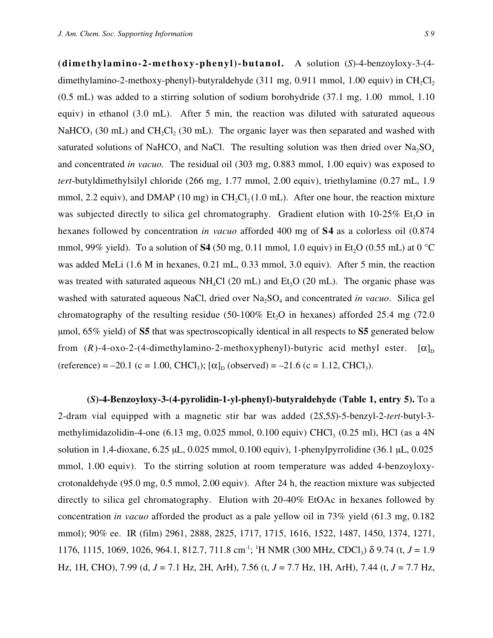**(dimethylamino-2-methoxy-phenyl)-butanol.** A solution (*S*)-4-benzoyloxy-3-(4 dimethylamino-2-methoxy-phenyl)-butyraldehyde  $(311 \text{ mg}, 0.911 \text{ mmol}, 1.00 \text{ equiv})$  in CH<sub>2</sub>Cl<sub>2</sub> (0.5 mL) was added to a stirring solution of sodium borohydride (37.1 mg, 1.00 mmol, 1.10 equiv) in ethanol (3.0 mL). After 5 min, the reaction was diluted with saturated aqueous NaHCO<sub>3</sub> (30 mL) and CH<sub>2</sub>Cl<sub>2</sub> (30 mL). The organic layer was then separated and washed with saturated solutions of NaHCO<sub>3</sub> and NaCl. The resulting solution was then dried over  $Na<sub>2</sub>SO<sub>4</sub>$ and concentrated *in vacuo.* The residual oil (303 mg, 0.883 mmol, 1.00 equiv) was exposed to *tert*-butyldimethylsilyl chloride (266 mg, 1.77 mmol, 2.00 equiv), triethylamine (0.27 mL, 1.9 mmol, 2.2 equiv), and DMAP (10 mg) in  $CH_2Cl_2 (1.0 \text{ mL})$ . After one hour, the reaction mixture was subjected directly to silica gel chromatography. Gradient elution with  $10\n-25\%$  Et<sub>2</sub>O in hexanes followed by concentration *in vacuo* afforded 400 mg of **S4** as a colorless oil (0.874 mmol, 99% yield). To a solution of **S4** (50 mg, 0.11 mmol, 1.0 equiv) in Et<sub>2</sub>O (0.55 mL) at 0 °C was added MeLi (1.6 M in hexanes, 0.21 mL, 0.33 mmol, 3.0 equiv). After 5 min, the reaction was treated with saturated aqueous  $NH<sub>4</sub>Cl$  (20 mL) and Et<sub>2</sub>O (20 mL). The organic phase was washed with saturated aqueous NaCl, dried over Na<sub>2</sub>SO<sub>4</sub> and concentrated *in vacuo*. Silica gel chromatography of the resulting residue (50-100% Et<sub>2</sub>O in hexanes) afforded 25.4 mg (72.0) µmol, 65% yield) of **S5** that was spectroscopically identical in all respects to **S5** generated below from  $(R)$ -4-oxo-2-(4-dimethylamino-2-methoxyphenyl)-butyric acid methyl ester.  $[\alpha]_D$ (reference) = –20.1 (c = 1.00, CHCl<sub>3</sub>);  $[\alpha]_D$  (observed) = –21.6 (c = 1.12, CHCl<sub>3</sub>).

**(***S***)-4-Benzoyloxy-3-(4-pyrolidin-1-yl-phenyl)-butyraldehyde (Table 1, entry 5).** To a 2-dram vial equipped with a magnetic stir bar was added (2*S*,5*S*)-5-benzyl-2-*tert*-butyl-3 methylimidazolidin-4-one  $(6.13 \text{ mg}, 0.025 \text{ mmol}, 0.100 \text{ equiv}) \text{CHCl}_3 (0.25 \text{ ml})$ , HCl (as a 4N solution in 1,4-dioxane,  $6.25 \mu L$ ,  $0.025 \text{ mmol}$ ,  $0.100 \text{ equiv}$ ), 1-phenylpyrrolidine (36.1  $\mu L$ , 0.025 mmol, 1.00 equiv). To the stirring solution at room temperature was added 4-benzoyloxycrotonaldehyde (95.0 mg, 0.5 mmol, 2.00 equiv). After 24 h, the reaction mixture was subjected directly to silica gel chromatography. Elution with 20-40% EtOAc in hexanes followed by concentration *in vacuo* afforded the product as a pale yellow oil in 73% yield (61.3 mg, 0.182 mmol); 90% ee. IR (film) 2961, 2888, 2825, 1717, 1715, 1616, 1522, 1487, 1450, 1374, 1271, 1176, 1115, 1069, 1026, 964.1, 812.7, 711.8 cm<sup>-1</sup>; <sup>1</sup>H NMR (300 MHz, CDCl<sub>3</sub>) δ 9.74 (t, *J* = 1.9 Hz, 1H, CHO), 7.99 (d, *J* = 7.1 Hz, 2H, ArH), 7.56 (t, *J* = 7.7 Hz, 1H, ArH), 7.44 (t, *J* = 7.7 Hz,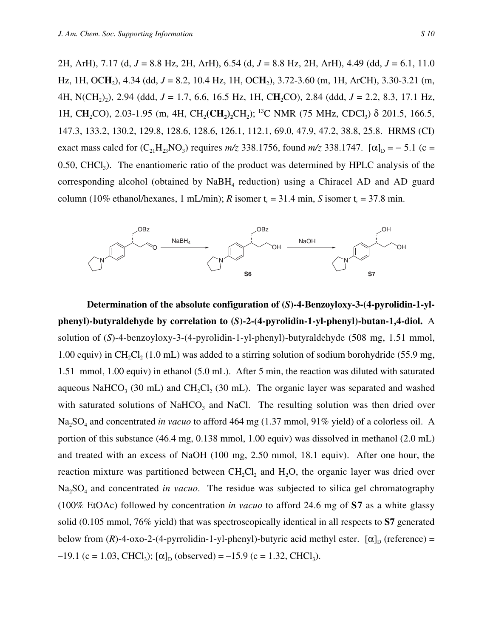2H, ArH), 7.17 (d, *J* = 8.8 Hz, 2H, ArH), 6.54 (d, *J* = 8.8 Hz, 2H, ArH), 4.49 (dd, *J* = 6.1, 11.0 Hz, 1H, OC**H**2), 4.34 (dd, *J* = 8.2, 10.4 Hz, 1H, OC**H**2), 3.72-3.60 (m, 1H, ArCH), 3.30-3.21 (m, 4H, N(CH<sub>2</sub>)<sub>2</sub>), 2.94 (ddd, *J* = 1.7, 6.6, 16.5 Hz, 1H, CH<sub>2</sub>CO), 2.84 (ddd, *J* = 2.2, 8.3, 17.1 Hz, 1H, CH<sub>2</sub>CO), 2.03-1.95 (m, 4H, CH<sub>2</sub>(CH<sub>2</sub>)<sub>2</sub>CH<sub>2</sub>); <sup>13</sup>C NMR (75 MHz, CDCl<sub>3</sub>) δ 201.5, 166.5, 147.3, 133.2, 130.2, 129.8, 128.6, 128.6, 126.1, 112.1, 69.0, 47.9, 47.2, 38.8, 25.8. HRMS (CI) exact mass calcd for  $(C_{21}H_{23}NO_3)$  requires  $m/z$  338.1756, found  $m/z$  338.1747.  $[\alpha]_D = -5.1$  (c =  $0.50$ , CHCl<sub>3</sub>). The enantiomeric ratio of the product was determined by HPLC analysis of the corresponding alcohol (obtained by  $N$ a $BH$ <sub>4</sub> reduction) using a Chiracel AD and AD guard column (10% ethanol/hexanes, 1 mL/min); *R* isomer  $t_r = 31.4$  min, *S* isomer  $t_r = 37.8$  min.



**Determination of the absolute configuration of (***S***)-4-Benzoyloxy-3-(4-pyrolidin-1-ylphenyl)-butyraldehyde by correlation to (***S***)-2-(4-pyrolidin-1-yl-phenyl)-butan-1,4-diol.** A solution of (*S*)-4-benzoyloxy-3-(4-pyrolidin-1-yl-phenyl)-butyraldehyde (508 mg, 1.51 mmol, 1.00 equiv) in CH<sub>2</sub>Cl<sub>2</sub> (1.0 mL) was added to a stirring solution of sodium borohydride (55.9 mg, 1.51 mmol, 1.00 equiv) in ethanol (5.0 mL). After 5 min, the reaction was diluted with saturated aqueous NaHCO<sub>3</sub> (30 mL) and CH<sub>2</sub>Cl<sub>2</sub> (30 mL). The organic layer was separated and washed with saturated solutions of NaHCO<sub>3</sub> and NaCl. The resulting solution was then dried over Na<sub>2</sub>SO<sub>4</sub> and concentrated *in vacuo* to afford 464 mg (1.37 mmol, 91% yield) of a colorless oil. A portion of this substance (46.4 mg, 0.138 mmol, 1.00 equiv) was dissolved in methanol (2.0 mL) and treated with an excess of NaOH (100 mg, 2.50 mmol, 18.1 equiv). After one hour, the reaction mixture was partitioned between  $CH<sub>2</sub>Cl<sub>2</sub>$  and  $H<sub>2</sub>O<sub>2</sub>$ , the organic layer was dried over Na2SO4 and concentrated *in vacuo*. The residue was subjected to silica gel chromatography (100% EtOAc) followed by concentration *in vacuo* to afford 24.6 mg of **S7** as a white glassy solid (0.105 mmol, 76% yield) that was spectroscopically identical in all respects to **S7** generated below from  $(R)$ -4-oxo-2-(4-pyrrolidin-1-yl-phenyl)-butyric acid methyl ester.  $[\alpha]_D$  (reference) =  $-19.1$  (c = 1.03, CHCl<sub>3</sub>); [ $\alpha$ ]<sub>D</sub> (observed) = -15.9 (c = 1.32, CHCl<sub>3</sub>).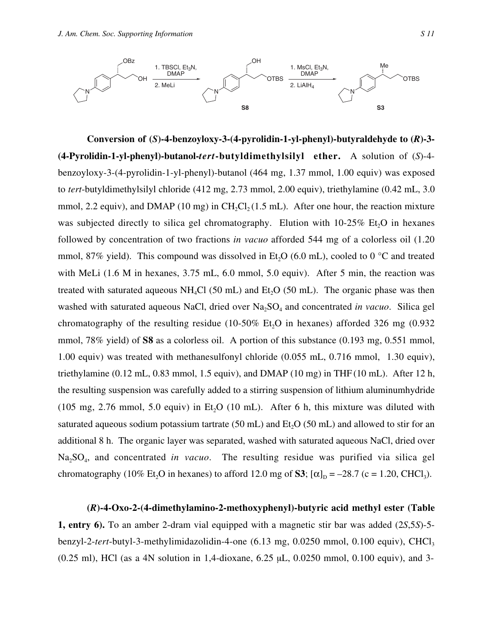

**Conversion of (***S***)-4-benzoyloxy-3-(4-pyrolidin-1-yl-phenyl)-butyraldehyde to (***R***)-3- (4-Pyrolidin-1-yl-phenyl)-butanol-***tert***-butyldimethylsilyl ether.** A solution of (*S*)-4 benzoyloxy-3-(4-pyrolidin-1-yl-phenyl)-butanol (464 mg, 1.37 mmol, 1.00 equiv) was exposed to *tert*-butyldimethylsilyl chloride (412 mg, 2.73 mmol, 2.00 equiv), triethylamine (0.42 mL, 3.0 mmol, 2.2 equiv), and DMAP (10 mg) in CH<sub>2</sub>Cl<sub>2</sub> (1.5 mL). After one hour, the reaction mixture was subjected directly to silica gel chromatography. Elution with  $10-25\%$  Et<sub>2</sub>O in hexanes followed by concentration of two fractions *in vacuo* afforded 544 mg of a colorless oil (1.20 mmol, 87% yield). This compound was dissolved in Et<sub>2</sub>O (6.0 mL), cooled to 0  $\degree$ C and treated with MeLi (1.6 M in hexanes, 3.75 mL, 6.0 mmol, 5.0 equiv). After 5 min, the reaction was treated with saturated aqueous  $NH<sub>4</sub>Cl$  (50 mL) and Et<sub>2</sub>O (50 mL). The organic phase was then washed with saturated aqueous NaCl, dried over Na<sub>2</sub>SO<sub>4</sub> and concentrated *in vacuo*. Silica gel chromatography of the resulting residue (10-50% Et<sub>2</sub>O in hexanes) afforded 326 mg (0.932) mmol, 78% yield) of **S8** as a colorless oil. A portion of this substance (0.193 mg, 0.551 mmol, 1.00 equiv) was treated with methanesulfonyl chloride (0.055 mL, 0.716 mmol, 1.30 equiv), triethylamine  $(0.12 \text{ mL}, 0.83 \text{ mmol}, 1.5 \text{ equiv})$ , and DMAP  $(10 \text{ mg})$  in THF  $(10 \text{ mL})$ . After 12 h, the resulting suspension was carefully added to a stirring suspension of lithium aluminumhydride (105 mg, 2.76 mmol, 5.0 equiv) in Et<sub>2</sub>O (10 mL). After 6 h, this mixture was diluted with saturated aqueous sodium potassium tartrate  $(50 \text{ mL})$  and  $Et<sub>2</sub>O (50 \text{ mL})$  and allowed to stir for an additional 8 h. The organic layer was separated, washed with saturated aqueous NaCl, dried over Na<sub>2</sub>SO<sub>4</sub>, and concentrated *in vacuo*. The resulting residue was purified via silica gel chromatography (10% Et<sub>2</sub>O in hexanes) to afford 12.0 mg of **S3**;  $[\alpha]_D = -28.7$  (c = 1.20, CHCl<sub>3</sub>).

**(***R***)-4-Oxo-2-(4-dimethylamino-2-methoxyphenyl)-butyric acid methyl ester (Table 1, entry 6).** To an amber 2-dram vial equipped with a magnetic stir bar was added (2*S*,5*S*)-5 benzyl-2-tert-butyl-3-methylimidazolidin-4-one (6.13 mg, 0.0250 mmol, 0.100 equiv), CHCl<sub>3</sub> (0.25 ml), HCl (as a 4N solution in 1,4-dioxane, 6.25 µL, 0.0250 mmol, 0.100 equiv), and 3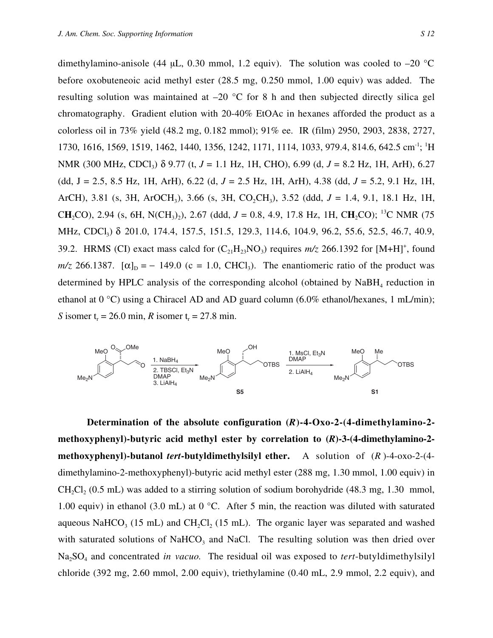dimethylamino-anisole (44  $\mu$ L, 0.30 mmol, 1.2 equiv). The solution was cooled to -20 °C before oxobuteneoic acid methyl ester (28.5 mg, 0.250 mmol, 1.00 equiv) was added. The resulting solution was maintained at  $-20$  °C for 8 h and then subjected directly silica gel chromatography. Gradient elution with 20-40% EtOAc in hexanes afforded the product as a colorless oil in 73% yield (48.2 mg, 0.182 mmol); 91% ee. IR (film) 2950, 2903, 2838, 2727, 1730, 1616, 1569, 1519, 1462, 1440, 1356, 1242, 1171, 1114, 1033, 979.4, 814.6, 642.5 cm<sup>-1</sup>; <sup>1</sup>H NMR (300 MHz, CDCl<sub>3</sub>) δ 9.77 (t, *J* = 1.1 Hz, 1H, CHO), 6.99 (d, *J* = 8.2 Hz, 1H, ArH), 6.27 (dd, J = 2.5, 8.5 Hz, 1H, ArH), 6.22 (d, *J* = 2.5 Hz, 1H, ArH), 4.38 (dd, *J* = 5.2, 9.1 Hz, 1H, ArCH), 3.81 (s, 3H, ArOCH3), 3.66 (s, 3H, CO2CH3), 3.52 (ddd, *J* = 1.4, 9.1, 18.1 Hz, 1H, **CH**<sub>2</sub>CO), 2.94 (s, 6H, N(CH<sub>3</sub>)<sub>2</sub>), 2.67 (ddd, *J* = 0.8, 4.9, 17.8 Hz, 1H, CH<sub>2</sub>CO); <sup>13</sup>C NMR (75 MHz, CDCl<sub>3</sub>) δ 201.0, 174.4, 157.5, 151.5, 129.3, 114.6, 104.9, 96.2, 55.6, 52.5, 46.7, 40.9, 39.2. HRMS (CI) exact mass calcd for  $(C_{21}H_{23}NO_3)$  requires  $m/z$  266.1392 for  $[M+H]^+$ , found  $m/z$  266.1387.  $[\alpha]_D = -149.0$  (c = 1.0, CHCl<sub>3</sub>). The enantiomeric ratio of the product was determined by HPLC analysis of the corresponding alcohol (obtained by NaBH<sub>4</sub> reduction in ethanol at 0 °C) using a Chiracel AD and AD guard column (6.0% ethanol/hexanes, 1 mL/min); *S* isomer  $t_r = 26.0$  min, *R* isomer  $t_r = 27.8$  min.



**Determination of the absolute configuration (***R***)-4-Oxo-2-(4-dimethylamino-2 methoxyphenyl)-butyric acid methyl ester by correlation to (***R***)-3-(4-dimethylamino-2 methoxyphenyl)-butanol** *tert***-butyldimethylsilyl ether.** A solution of (*R* )-4-oxo-2-(4 dimethylamino-2-methoxyphenyl)-butyric acid methyl ester (288 mg, 1.30 mmol, 1.00 equiv) in  $CH_2Cl_2$  (0.5 mL) was added to a stirring solution of sodium borohydride (48.3 mg, 1.30 mmol, 1.00 equiv) in ethanol (3.0 mL) at 0 °C. After 5 min, the reaction was diluted with saturated aqueous NaHCO<sub>3</sub> (15 mL) and CH<sub>2</sub>Cl<sub>2</sub> (15 mL). The organic layer was separated and washed with saturated solutions of NaHCO<sub>3</sub> and NaCl. The resulting solution was then dried over Na2SO4 and concentrated *in vacuo.* The residual oil was exposed to *tert*-butyldimethylsilyl chloride (392 mg, 2.60 mmol, 2.00 equiv), triethylamine (0.40 mL, 2.9 mmol, 2.2 equiv), and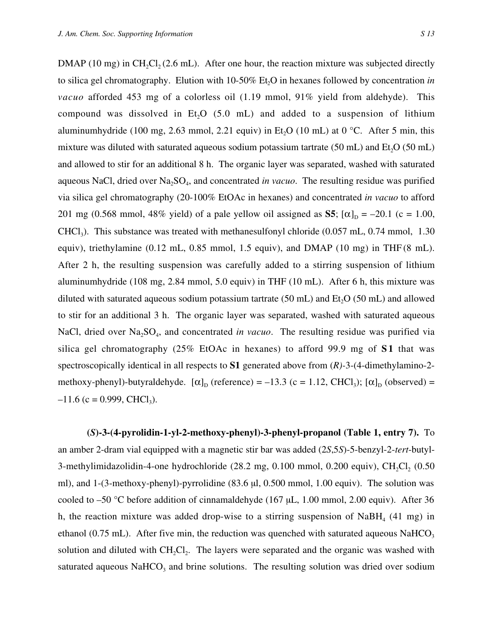DMAP (10 mg) in CH<sub>2</sub>Cl<sub>2</sub> (2.6 mL). After one hour, the reaction mixture was subjected directly to silica gel chromatography. Elution with 10-50% Et<sub>2</sub>O in hexanes followed by concentration *in vacuo* afforded 453 mg of a colorless oil (1.19 mmol, 91% yield from aldehyde). This compound was dissolved in Et<sub>1</sub>O (5.0 mL) and added to a suspension of lithium aluminumhydride (100 mg, 2.63 mmol, 2.21 equiv) in Et<sub>2</sub>O (10 mL) at 0 °C. After 5 min, this mixture was diluted with saturated aqueous sodium potassium tartrate  $(50 \text{ mL})$  and  $Et$ ,  $O(50 \text{ mL})$ and allowed to stir for an additional 8 h. The organic layer was separated, washed with saturated aqueous NaCl, dried over Na2SO4, and concentrated *in vacuo*. The resulting residue was purified via silica gel chromatography (20-100% EtOAc in hexanes) and concentrated *in vacuo* to afford 201 mg (0.568 mmol, 48% yield) of a pale yellow oil assigned as **S5**;  $[\alpha]_D = -20.1$  (c = 1.00,  $CHCl<sub>3</sub>$ ). This substance was treated with methanesulfonyl chloride (0.057 mL, 0.74 mmol, 1.30) equiv), triethylamine (0.12 mL, 0.85 mmol, 1.5 equiv), and DMAP (10 mg) in THF (8 mL). After 2 h, the resulting suspension was carefully added to a stirring suspension of lithium aluminumhydride (108 mg, 2.84 mmol, 5.0 equiv) in THF (10 mL). After 6 h, this mixture was diluted with saturated aqueous sodium potassium tartrate  $(50 \text{ mL})$  and  $Et<sub>2</sub>O$   $(50 \text{ mL})$  and allowed to stir for an additional 3 h. The organic layer was separated, washed with saturated aqueous NaCl, dried over Na<sub>2</sub>SO<sub>4</sub>, and concentrated *in vacuo*. The resulting residue was purified via silica gel chromatography (25% EtOAc in hexanes) to afford 99.9 mg of **S 1** that was spectroscopically identical in all respects to **S1** generated above from (*R)-*3-(4-dimethylamino-2 methoxy-phenyl)-butyraldehyde.  $[\alpha]_D$  (reference) = -13.3 (c = 1.12, CHCl<sub>3</sub>);  $[\alpha]_D$  (observed) =  $-11.6$  (c = 0.999, CHCl<sub>3</sub>).

**(***S***)-3-(4-pyrolidin-1-yl-2-methoxy-phenyl)-3-phenyl-propanol (Table 1, entry 7).** To an amber 2-dram vial equipped with a magnetic stir bar was added (2*S*,5*S*)-5-benzyl-2-*tert*-butyl-3-methylimidazolidin-4-one hydrochloride  $(28.2 \text{ mg}, 0.100 \text{ mmol}, 0.200 \text{ equiv})$ , CH<sub>2</sub>Cl<sub>2</sub>  $(0.50 \text{ m})$ ml), and 1-(3-methoxy-phenyl)-pyrrolidine (83.6 µl, 0.500 mmol, 1.00 equiv). The solution was cooled to  $-50$  °C before addition of cinnamaldehyde (167 µL, 1.00 mmol, 2.00 equiv). After 36 h, the reaction mixture was added drop-wise to a stirring suspension of NaBH<sub>4</sub> (41 mg) in ethanol (0.75 mL). After five min, the reduction was quenched with saturated aqueous NaHCO<sub>3</sub> solution and diluted with  $CH_2Cl_2$ . The layers were separated and the organic was washed with saturated aqueous NaHCO<sub>3</sub> and brine solutions. The resulting solution was dried over sodium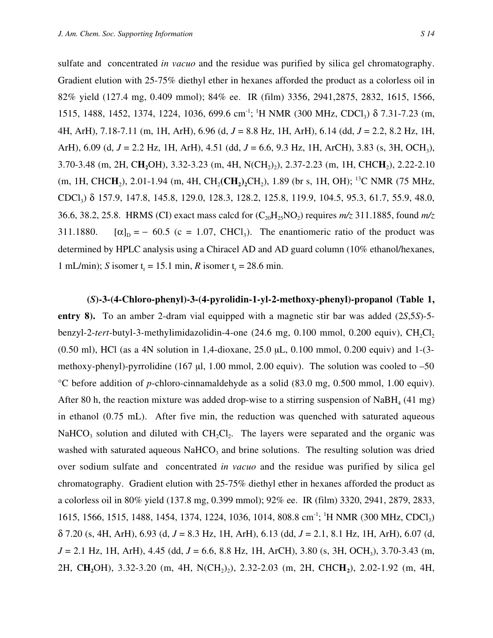sulfate and concentrated *in vacuo* and the residue was purified by silica gel chromatography. Gradient elution with 25-75% diethyl ether in hexanes afforded the product as a colorless oil in 82% yield (127.4 mg, 0.409 mmol); 84% ee. IR (film) 3356, 2941,2875, 2832, 1615, 1566, 1515, 1488, 1452, 1374, 1224, 1036, 699.6 cm<sup>-1</sup>; <sup>1</sup>H NMR (300 MHz, CDCl<sub>3</sub>) δ 7.31-7.23 (m, 4H, ArH), 7.18-7.11 (m, 1H, ArH), 6.96 (d, *J* = 8.8 Hz, 1H, ArH), 6.14 (dd, *J* = 2.2, 8.2 Hz, 1H, ArH), 6.09 (d, *J* = 2.2 Hz, 1H, ArH), 4.51 (dd, *J* = 6.6, 9.3 Hz, 1H, ArCH), 3.83 (s, 3H, OCH3), 3.70-3.48 (m, 2H, CH<sub>2</sub>OH), 3.32-3.23 (m, 4H, N(CH<sub>2</sub>)<sub>2</sub>), 2.37-2.23 (m, 1H, CHCH<sub>2</sub>), 2.22-2.10 (m, 1H, CHC**H**<sub>2</sub>), 2.01-1.94 (m, 4H, CH<sub>2</sub>(C**H**<sub>2</sub>)<sub>2</sub>CH<sub>2</sub>), 1.89 (br s, 1H, OH); <sup>13</sup>C NMR (75 MHz, CDCl3) δ 157.9, 147.8, 145.8, 129.0, 128.3, 128.2, 125.8, 119.9, 104.5, 95.3, 61.7, 55.9, 48.0, 36.6, 38.2, 25.8. HRMS (CI) exact mass calcd for  $(C_{20}H_{25}NO_2)$  requires  $m/z$  311.1885, found  $m/z$ 311.1880.  $[\alpha]_D = -60.5$  (c = 1.07, CHCl<sub>3</sub>). The enantiomeric ratio of the product was

determined by HPLC analysis using a Chiracel AD and AD guard column (10% ethanol/hexanes, 1 mL/min); *S* isomer  $t_r = 15.1$  min, *R* isomer  $t_r = 28.6$  min.

**(***S***)-3-(4-Chloro-phenyl)-3-(4-pyrolidin-1-yl-2-methoxy-phenyl)-propanol (Table 1, entry 8).** To an amber 2-dram vial equipped with a magnetic stir bar was added (2*S*,5*S*)-5 benzyl-2-tert-butyl-3-methylimidazolidin-4-one (24.6 mg, 0.100 mmol, 0.200 equiv), CH<sub>2</sub>Cl<sub>2</sub> (0.50 ml), HCl (as a 4N solution in 1,4-dioxane, 25.0 µL, 0.100 mmol, 0.200 equiv) and 1-(3 methoxy-phenyl)-pyrrolidine (167 µl, 1.00 mmol, 2.00 equiv). The solution was cooled to  $-50$ °C before addition of *p*-chloro-cinnamaldehyde as a solid (83.0 mg, 0.500 mmol, 1.00 equiv). After 80 h, the reaction mixture was added drop-wise to a stirring suspension of NaBH<sub>4</sub> (41 mg) in ethanol (0.75 mL). After five min, the reduction was quenched with saturated aqueous NaHCO<sub>3</sub> solution and diluted with  $CH_2Cl_2$ . The layers were separated and the organic was washed with saturated aqueous  $NaHCO<sub>3</sub>$  and brine solutions. The resulting solution was dried over sodium sulfate and concentrated *in vacuo* and the residue was purified by silica gel chromatography. Gradient elution with 25-75% diethyl ether in hexanes afforded the product as a colorless oil in 80% yield (137.8 mg, 0.399 mmol); 92% ee. IR (film) 3320, 2941, 2879, 2833, 1615, 1566, 1515, 1488, 1454, 1374, 1224, 1036, 1014, 808.8 cm<sup>-1</sup>; <sup>1</sup>H NMR (300 MHz, CDCl<sub>3</sub>) δ 7.20 (s, 4H, ArH), 6.93 (d, *J* = 8.3 Hz, 1H, ArH), 6.13 (dd, *J* = 2.1, 8.1 Hz, 1H, ArH), 6.07 (d, *J* = 2.1 Hz, 1H, ArH), 4.45 (dd, *J* = 6.6, 8.8 Hz, 1H, ArCH), 3.80 (s, 3H, OCH3), 3.70-3.43 (m, 2H, CH<sub>2</sub>OH), 3.32-3.20 (m, 4H, N(CH<sub>2</sub>)<sub>2</sub>), 2.32-2.03 (m, 2H, CHCH<sub>2</sub>), 2.02-1.92 (m, 4H,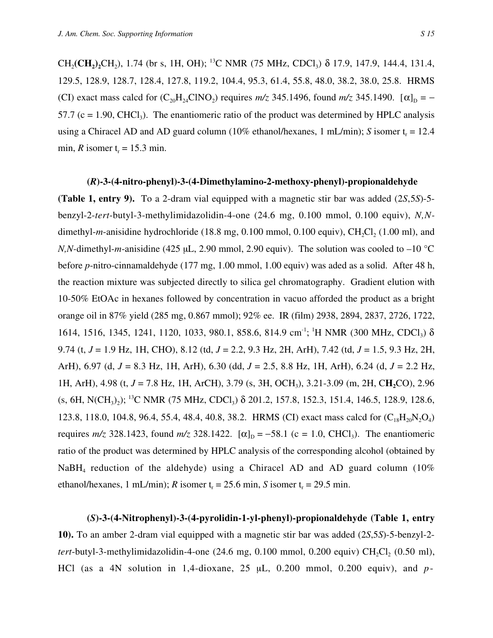CH<sub>2</sub>(CH<sub>2</sub>)<sub>2</sub>CH<sub>2</sub>), 1.74 (br s, 1H, OH); <sup>13</sup>C NMR (75 MHz, CDCl<sub>3</sub>)  $\delta$  17.9, 147.9, 144.4, 131.4, 129.5, 128.9, 128.7, 128.4, 127.8, 119.2, 104.4, 95.3, 61.4, 55.8, 48.0, 38.2, 38.0, 25.8. HRMS (CI) exact mass calcd for  $(C_{20}H_{24}CINO_2)$  requires  $m/z$  345.1496, found  $m/z$  345.1490.  $[\alpha]_D = -$ 57.7 (c = 1.90, CHCl<sub>3</sub>). The enantiomeric ratio of the product was determined by HPLC analysis using a Chiracel AD and AD guard column ( $10\%$  ethanol/hexanes, 1 mL/min); *S* isomer  $t_r = 12.4$ min, *R* isomer  $t_r = 15.3$  min.

## **(***R***)-3-(4-nitro-phenyl)-3-(4-Dimethylamino-2-methoxy-phenyl)-propionaldehyde**

**(Table 1, entry 9).** To a 2-dram vial equipped with a magnetic stir bar was added (2*S*,5*S*)-5 benzyl-2-*tert*-butyl-3-methylimidazolidin-4-one (24.6 mg, 0.100 mmol, 0.100 equiv), *N,N*dimethyl-*m*-anisidine hydrochloride (18.8 mg,  $0.100$  mmol,  $0.100$  equiv), CH<sub>2</sub>Cl<sub>2</sub> (1.00 ml), and *N,N*-dimethyl-*m*-anisidine (425 µL, 2.90 mmol, 2.90 equiv). The solution was cooled to –10 °C before *p*-nitro-cinnamaldehyde (177 mg, 1.00 mmol, 1.00 equiv) was aded as a solid. After 48 h, the reaction mixture was subjected directly to silica gel chromatography. Gradient elution with 10-50% EtOAc in hexanes followed by concentration in vacuo afforded the product as a bright orange oil in 87% yield (285 mg, 0.867 mmol); 92% ee. IR (film) 2938, 2894, 2837, 2726, 1722, 1614, 1516, 1345, 1241, 1120, 1033, 980.1, 858.6, 814.9 cm<sup>-1</sup>; <sup>1</sup>H NMR (300 MHz, CDCl<sub>3</sub>) δ 9.74 (t, *J* = 1.9 Hz, 1H, CHO), 8.12 (td, *J* = 2.2, 9.3 Hz, 2H, ArH), 7.42 (td, *J* = 1.5, 9.3 Hz, 2H, ArH), 6.97 (d, *J* = 8.3 Hz, 1H, ArH), 6.30 (dd, *J* = 2.5, 8.8 Hz, 1H, ArH), 6.24 (d, *J* = 2.2 Hz, 1H, ArH), 4.98 (t, *J* = 7.8 Hz, 1H, ArCH), 3.79 (s, 3H, OCH3), 3.21-3.09 (m, 2H, C**H2**CO), 2.96 (s, 6H, N(CH<sub>3</sub>)<sub>2</sub>); <sup>13</sup>C NMR (75 MHz, CDCl<sub>3</sub>) δ 201.2, 157.8, 152.3, 151.4, 146.5, 128.9, 128.6, 123.8, 118.0, 104.8, 96.4, 55.4, 48.4, 40.8, 38.2. HRMS (CI) exact mass calcd for  $(C_{18}H_{20}N_2O_4)$ requires  $m/z$  328.1423, found  $m/z$  328.1422. [α]<sub>D</sub> = -58.1 (c = 1.0, CHCl<sub>3</sub>). The enantiomeric ratio of the product was determined by HPLC analysis of the corresponding alcohol (obtained by NaBH<sub>4</sub> reduction of the aldehyde) using a Chiracel AD and AD guard column  $(10\%$ ethanol/hexanes, 1 mL/min); *R* isomer  $t_r = 25.6$  min, *S* isomer  $t_r = 29.5$  min.

**(***S***)-3-(4-Nitrophenyl)-3-(4-pyrolidin-1-yl-phenyl)-propionaldehyde (Table 1, entry 10).** To an amber 2-dram vial equipped with a magnetic stir bar was added (2*S*,5*S*)-5-benzyl-2 *tert*-butyl-3-methylimidazolidin-4-one  $(24.6 \text{ mg}, 0.100 \text{ mmol}, 0.200 \text{ equiv}) \text{ CH}_{2}Cl_{2}$   $(0.50 \text{ ml})$ , HCl (as a 4N solution in 1,4-dioxane, 25 µL, 0.200 mmol, 0.200 equiv), and *p*-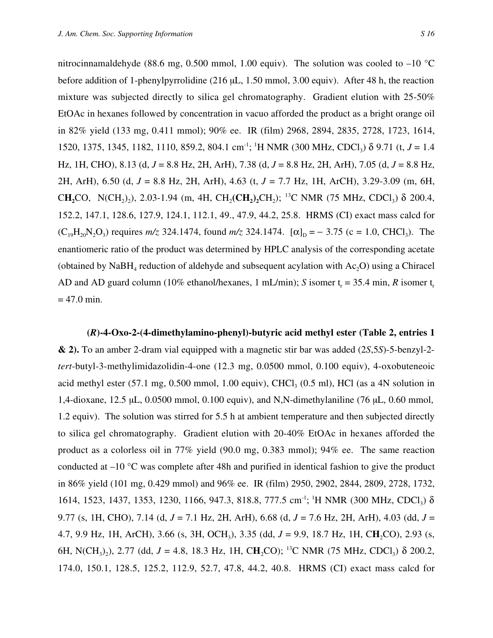nitrocinnamaldehyde (88.6 mg, 0.500 mmol, 1.00 equiv). The solution was cooled to  $-10$  °C before addition of 1-phenylpyrrolidine (216 µL, 1.50 mmol, 3.00 equiv). After 48 h, the reaction mixture was subjected directly to silica gel chromatography. Gradient elution with 25-50% EtOAc in hexanes followed by concentration in vacuo afforded the product as a bright orange oil in 82% yield (133 mg, 0.411 mmol); 90% ee. IR (film) 2968, 2894, 2835, 2728, 1723, 1614, 1520, 1375, 1345, 1182, 1110, 859.2, 804.1 cm<sup>-1</sup>; <sup>1</sup>H NMR (300 MHz, CDCl<sub>3</sub>) δ 9.71 (t, *J* = 1.4 Hz, 1H, CHO), 8.13 (d, *J* = 8.8 Hz, 2H, ArH), 7.38 (d, *J* = 8.8 Hz, 2H, ArH), 7.05 (d, *J* = 8.8 Hz, 2H, ArH), 6.50 (d, *J* = 8.8 Hz, 2H, ArH), 4.63 (t, *J* = 7.7 Hz, 1H, ArCH), 3.29-3.09 (m, 6H, CH<sub>2</sub>CO, N(CH<sub>2</sub>)<sub>2</sub>), 2.03-1.94 (m, 4H, CH<sub>2</sub>(CH<sub>2</sub>)<sub>2</sub>CH<sub>2</sub>); <sup>13</sup>C NMR (75 MHz, CDCl<sub>3</sub>)  $\delta$  200.4, 152.2, 147.1, 128.6, 127.9, 124.1, 112.1, 49., 47.9, 44.2, 25.8. HRMS (CI) exact mass calcd for  $(C_{19}H_{20}N_2O_3)$  requires  $m/z$  324.1474, found  $m/z$  324.1474.  $[\alpha]_D = -3.75$  (c = 1.0, CHCl<sub>3</sub>). The enantiomeric ratio of the product was determined by HPLC analysis of the corresponding acetate (obtained by  $N$ aBH<sub>4</sub> reduction of aldehyde and subsequent acylation with Ac<sub>2</sub>O) using a Chiracel AD and AD guard column (10% ethanol/hexanes, 1 mL/min); *S* isomer  $t_r = 35.4$  min, *R* isomer  $t_r$  $= 47.0$  min.

**(***R***)-4-Oxo-2-(4-dimethylamino-phenyl)-butyric acid methyl ester (Table 2, entries 1 & 2).** To an amber 2-dram vial equipped with a magnetic stir bar was added (2*S*,5*S*)-5-benzyl-2 *tert*-butyl-3-methylimidazolidin-4-one (12.3 mg, 0.0500 mmol, 0.100 equiv), 4-oxobuteneoic acid methyl ester  $(57.1 \text{ mg}, 0.500 \text{ mmol}, 1.00 \text{ equiv})$ , CHCl<sub>3</sub>  $(0.5 \text{ ml})$ , HCl (as a 4N solution in 1,4-dioxane, 12.5 µL, 0.0500 mmol, 0.100 equiv), and N,N-dimethylaniline (76 µL, 0.60 mmol, 1.2 equiv). The solution was stirred for 5.5 h at ambient temperature and then subjected directly to silica gel chromatography. Gradient elution with 20-40% EtOAc in hexanes afforded the product as a colorless oil in 77% yield (90.0 mg, 0.383 mmol); 94% ee. The same reaction conducted at –10 °C was complete after 48h and purified in identical fashion to give the product in 86% yield (101 mg, 0.429 mmol) and 96% ee. IR (film) 2950, 2902, 2844, 2809, 2728, 1732, 1614, 1523, 1437, 1353, 1230, 1166, 947.3, 818.8, 777.5 cm<sup>-1</sup>; <sup>1</sup>H NMR (300 MHz, CDCl<sub>3</sub>) δ 9.77 (s, 1H, CHO), 7.14 (d, *J* = 7.1 Hz, 2H, ArH), 6.68 (d, *J* = 7.6 Hz, 2H, ArH), 4.03 (dd, *J* = 4.7, 9.9 Hz, 1H, ArCH), 3.66 (s, 3H, OCH<sub>3</sub>), 3.35 (dd, *J* = 9.9, 18.7 Hz, 1H, CH<sub>2</sub>CO), 2.93 (s, 6H, N(CH<sub>3</sub>)<sub>2</sub>), 2.77 (dd,  $J = 4.8$ , 18.3 Hz, 1H, CH<sub>2</sub>CO); <sup>13</sup>C NMR (75 MHz, CDCl<sub>3</sub>)  $\delta$  200.2, 174.0, 150.1, 128.5, 125.2, 112.9, 52.7, 47.8, 44.2, 40.8. HRMS (CI) exact mass calcd for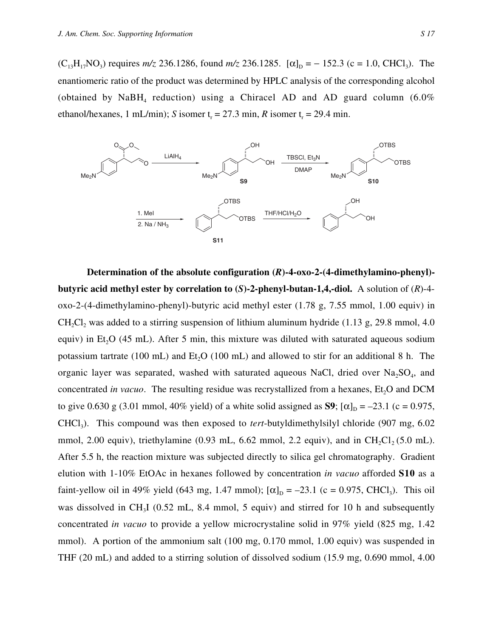$(C_{13}H_{17}NO_3)$  requires  $m/z$  236.1286, found  $m/z$  236.1285.  $[\alpha]_D = -152.3$  (c = 1.0, CHCl<sub>3</sub>). The enantiomeric ratio of the product was determined by HPLC analysis of the corresponding alcohol (obtained by NaBH<sub>4</sub> reduction) using a Chiracel AD and AD guard column  $(6.0\%$ ethanol/hexanes, 1 mL/min); *S* isomer  $t_r = 27.3$  min, *R* isomer  $t_r = 29.4$  min.



**Determination of the absolute configuration (***R***)-4-oxo-2-(4-dimethylamino-phenyl) butyric acid methyl ester by correlation to (***S***)-2-phenyl-butan-1,4,-diol.** A solution of (*R*)-4 oxo-2-(4-dimethylamino-phenyl)-butyric acid methyl ester (1.78 g, 7.55 mmol, 1.00 equiv) in CH<sub>2</sub>Cl<sub>2</sub> was added to a stirring suspension of lithium aluminum hydride (1.13 g, 29.8 mmol, 4.0) equiv) in Et<sub>2</sub>O (45 mL). After 5 min, this mixture was diluted with saturated aqueous sodium potassium tartrate (100 mL) and  $Et<sub>2</sub>O$  (100 mL) and allowed to stir for an additional 8 h. The organic layer was separated, washed with saturated aqueous NaCl, dried over  $Na<sub>2</sub>SO<sub>4</sub>$ , and concentrated *in vacuo*. The resulting residue was recrystallized from a hexanes, Et<sub>2</sub>O and DCM to give 0.630 g (3.01 mmol, 40% yield) of a white solid assigned as **S9**;  $[\alpha]_D = -23.1$  (c = 0.975, CHCl3). This compound was then exposed to *tert*-butyldimethylsilyl chloride (907 mg, 6.02 mmol, 2.00 equiv), triethylamine  $(0.93 \text{ mL}, 6.62 \text{ mmol}, 2.2 \text{ equiv})$ , and in CH<sub>2</sub>Cl<sub>2</sub> (5.0 mL). After 5.5 h, the reaction mixture was subjected directly to silica gel chromatography. Gradient elution with 1-10% EtOAc in hexanes followed by concentration *in vacuo* afforded **S10** as a faint-yellow oil in 49% yield (643 mg, 1.47 mmol);  $[\alpha]_D = -23.1$  (c = 0.975, CHCl<sub>3</sub>). This oil was dissolved in CH<sub>3</sub>I (0.52 mL, 8.4 mmol, 5 equiv) and stirred for 10 h and subsequently concentrated *in vacuo* to provide a yellow microcrystaline solid in 97% yield (825 mg, 1.42 mmol). A portion of the ammonium salt (100 mg, 0.170 mmol, 1.00 equiv) was suspended in THF (20 mL) and added to a stirring solution of dissolved sodium (15.9 mg, 0.690 mmol, 4.00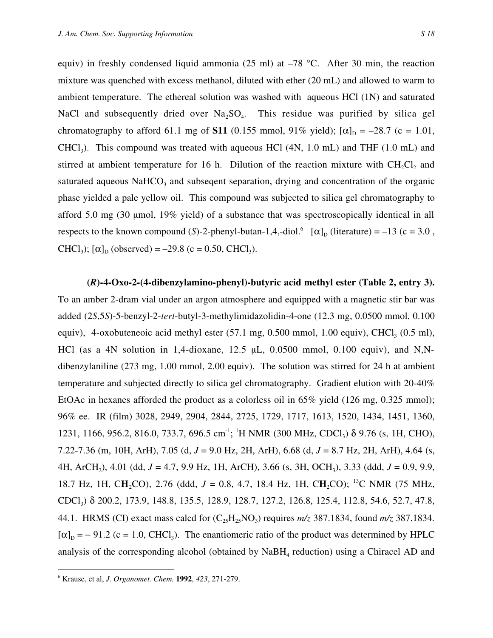equiv) in freshly condensed liquid ammonia (25 ml) at  $-78$  °C. After 30 min, the reaction mixture was quenched with excess methanol, diluted with ether (20 mL) and allowed to warm to ambient temperature. The ethereal solution was washed with aqueous HCl (1N) and saturated NaCl and subsequently dried over  $Na<sub>2</sub>SO<sub>4</sub>$ . This residue was purified by silica gel chromatography to afford 61.1 mg of **S11** (0.155 mmol, 91% yield);  $[\alpha]_D = -28.7$  (c = 1.01,  $CHCl<sub>3</sub>$ ). This compound was treated with aqueous HCl (4N, 1.0 mL) and THF (1.0 mL) and stirred at ambient temperature for  $16$  h. Dilution of the reaction mixture with CH<sub>2</sub>Cl<sub>2</sub> and saturated aqueous  $NaHCO<sub>3</sub>$  and subseqent separation, drying and concentration of the organic phase yielded a pale yellow oil. This compound was subjected to silica gel chromatography to afford 5.0 mg (30 µmol, 19% yield) of a substance that was spectroscopically identical in all respects to the known compound (*S*)-2-phenyl-butan-1,4,-diol.<sup>6</sup>  $[\alpha]_D$  (literature) = -13 (c = 3.0, CHCl<sub>3</sub>);  $[\alpha]_D$  (observed) = -29.8 (c = 0.50, CHCl<sub>3</sub>).

**(***R***)-4-Oxo-2-(4-dibenzylamino-phenyl)-butyric acid methyl ester (Table 2, entry 3).** To an amber 2-dram vial under an argon atmosphere and equipped with a magnetic stir bar was added (2*S*,5*S*)-5-benzyl-2-*tert*-butyl-3-methylimidazolidin-4-one (12.3 mg, 0.0500 mmol, 0.100 equiv), 4-oxobuteneoic acid methyl ester  $(57.1 \text{ mg}, 0.500 \text{ mmol}, 1.00 \text{ equiv})$ , CHCl<sub>3</sub>  $(0.5 \text{ ml})$ , HCl (as a 4N solution in 1,4-dioxane, 12.5 µL, 0.0500 mmol, 0.100 equiv), and N,Ndibenzylaniline (273 mg, 1.00 mmol, 2.00 equiv). The solution was stirred for 24 h at ambient temperature and subjected directly to silica gel chromatography. Gradient elution with 20-40% EtOAc in hexanes afforded the product as a colorless oil in  $65\%$  yield (126 mg, 0.325 mmol); 96% ee. IR (film) 3028, 2949, 2904, 2844, 2725, 1729, 1717, 1613, 1520, 1434, 1451, 1360, 1231, 1166, 956.2, 816.0, 733.7, 696.5 cm<sup>-1</sup>; <sup>1</sup>H NMR (300 MHz, CDCl<sub>3</sub>) δ 9.76 (s, 1H, CHO), 7.22-7.36 (m, 10H, ArH), 7.05 (d, *J* = 9.0 Hz, 2H, ArH), 6.68 (d, *J* = 8.7 Hz, 2H, ArH), 4.64 (s, 4H, ArCH2), 4.01 (dd, *J* = 4.7, 9.9 Hz, 1H, ArCH), 3.66 (s, 3H, OCH3), 3.33 (ddd, *J* = 0.9, 9.9, 18.7 Hz, 1H, CH<sub>2</sub>CO), 2.76 (ddd, J = 0.8, 4.7, 18.4 Hz, 1H, CH<sub>2</sub>CO); <sup>13</sup>C NMR (75 MHz, CDCl3) δ 200.2, 173.9, 148.8, 135.5, 128.9, 128.7, 127.2, 126.8, 125.4, 112.8, 54.6, 52.7, 47.8, 44.1. HRMS (CI) exact mass calcd for  $(C_{25}H_{25}NO_3)$  requires  $m/z$  387.1834, found  $m/z$  387.1834.  $[\alpha]_D = -91.2$  (c = 1.0, CHCl<sub>3</sub>). The enantiomeric ratio of the product was determined by HPLC analysis of the corresponding alcohol (obtained by  $N$ a $BH$ <sub>4</sub> reduction) using a Chiracel AD and

 <sup>6</sup> Krause, et al, *J. Organomet. Chem.* **1992**, *423*, 271-279.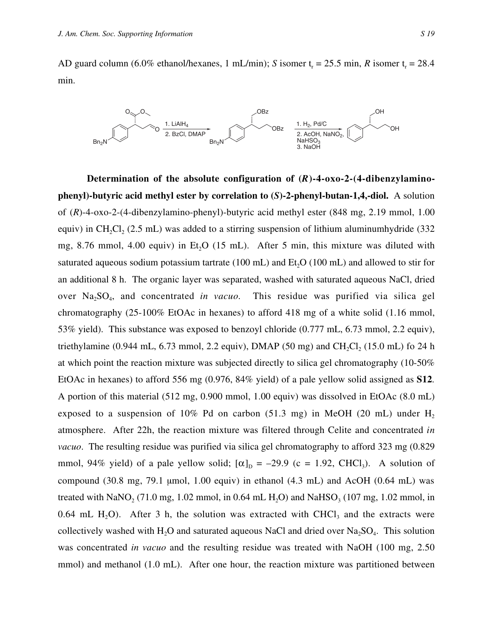AD guard column (6.0% ethanol/hexanes, 1 mL/min); *S* isomer  $t_r = 25.5$  min, *R* isomer  $t_r = 28.4$ min.



**Determination of the absolute configuration of (***R***)-4-oxo-2-(4-dibenzylaminophenyl)-butyric acid methyl ester by correlation to (***S***)-2-phenyl-butan-1,4,-diol.** A solution of (*R*)-4-oxo-2-(4-dibenzylamino-phenyl)-butyric acid methyl ester (848 mg, 2.19 mmol, 1.00 equiv) in CH<sub>2</sub>Cl<sub>2</sub> (2.5 mL) was added to a stirring suspension of lithium aluminumhydride (332) mg, 8.76 mmol, 4.00 equiv) in Et<sub>2</sub>O (15 mL). After 5 min, this mixture was diluted with saturated aqueous sodium potassium tartrate (100 mL) and  $Et<sub>o</sub>O$  (100 mL) and allowed to stir for an additional 8 h. The organic layer was separated, washed with saturated aqueous NaCl, dried over Na<sub>2</sub>SO<sub>4</sub>, and concentrated *in vacuo*. This residue was purified via silica gel chromatography (25-100% EtOAc in hexanes) to afford 418 mg of a white solid (1.16 mmol, 53% yield). This substance was exposed to benzoyl chloride (0.777 mL, 6.73 mmol, 2.2 equiv), triethylamine (0.944 mL, 6.73 mmol, 2.2 equiv), DMAP (50 mg) and  $CH_2Cl_2$  (15.0 mL) fo 24 h at which point the reaction mixture was subjected directly to silica gel chromatography (10-50% EtOAc in hexanes) to afford 556 mg (0.976, 84% yield) of a pale yellow solid assigned as **S12**. A portion of this material (512 mg, 0.900 mmol, 1.00 equiv) was dissolved in EtOAc (8.0 mL) exposed to a suspension of  $10\%$  Pd on carbon (51.3 mg) in MeOH (20 mL) under H<sub>2</sub> atmosphere. After 22h, the reaction mixture was filtered through Celite and concentrated *in vacuo*. The resulting residue was purified via silica gel chromatography to afford 323 mg (0.829 mmol, 94% yield) of a pale yellow solid;  $[\alpha]_D = -29.9$  (c = 1.92, CHCl<sub>3</sub>). A solution of compound  $(30.8 \text{ mg}, 79.1 \text{ µmol}, 1.00 \text{ equiv})$  in ethanol  $(4.3 \text{ mL})$  and AcOH  $(0.64 \text{ mL})$  was treated with NaNO<sub>2</sub> (71.0 mg, 1.02 mmol, in 0.64 mL H<sub>2</sub>O) and NaHSO<sub>3</sub> (107 mg, 1.02 mmol, in 0.64 mL H<sub>2</sub>O). After 3 h, the solution was extracted with CHCl<sub>3</sub> and the extracts were collectively washed with H<sub>2</sub>O and saturated aqueous NaCl and dried over Na<sub>2</sub>SO<sub>4</sub>. This solution was concentrated *in vacuo* and the resulting residue was treated with NaOH (100 mg, 2.50 mmol) and methanol (1.0 mL). After one hour, the reaction mixture was partitioned between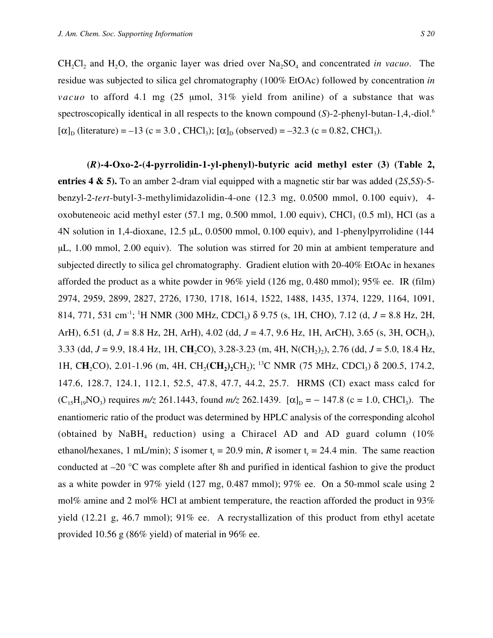CH<sub>2</sub>Cl<sub>2</sub> and H<sub>2</sub>O, the organic layer was dried over Na<sub>2</sub>SO<sub>4</sub> and concentrated *in vacuo*. The residue was subjected to silica gel chromatography (100% EtOAc) followed by concentration *in vacuo* to afford 4.1 mg (25 µmol, 31% yield from aniline) of a substance that was spectroscopically identical in all respects to the known compound (*S*)-2-phenyl-butan-1,4,-diol.<sup>6</sup>  $[\alpha]_D$  (literature) = –13 (c = 3.0, CHCl<sub>3</sub>);  $[\alpha]_D$  (observed) = –32.3 (c = 0.82, CHCl<sub>3</sub>).

**(***R***)-4-Oxo-2-(4-pyrrolidin-1-yl-phenyl)-butyric acid methyl ester (3) (Table 2, entries 4 & 5).** To an amber 2-dram vial equipped with a magnetic stir bar was added (2*S*,5*S*)-5 benzyl-2-*tert*-butyl-3-methylimidazolidin-4-one (12.3 mg, 0.0500 mmol, 0.100 equiv), 4 oxobuteneoic acid methyl ester  $(57.1 \text{ mg}, 0.500 \text{ mmol}, 1.00 \text{ equiv})$ , CHCl<sub>3</sub>  $(0.5 \text{ ml})$ , HCl (as a 4N solution in 1,4-dioxane, 12.5 µL, 0.0500 mmol, 0.100 equiv), and 1-phenylpyrrolidine (144 µL, 1.00 mmol, 2.00 equiv). The solution was stirred for 20 min at ambient temperature and subjected directly to silica gel chromatography. Gradient elution with 20-40% EtOAc in hexanes afforded the product as a white powder in 96% yield (126 mg, 0.480 mmol); 95% ee. IR (film) 2974, 2959, 2899, 2827, 2726, 1730, 1718, 1614, 1522, 1488, 1435, 1374, 1229, 1164, 1091, 814, 771, 531 cm<sup>-1</sup>; <sup>1</sup>H NMR (300 MHz, CDCl<sub>3</sub>) δ 9.75 (s, 1H, CHO), 7.12 (d, *J* = 8.8 Hz, 2H, ArH), 6.51 (d, *J* = 8.8 Hz, 2H, ArH), 4.02 (dd, *J* = 4.7, 9.6 Hz, 1H, ArCH), 3.65 (s, 3H, OCH3), 3.33 (dd,  $J = 9.9$ , 18.4 Hz, 1H, CH<sub>2</sub>CO), 3.28-3.23 (m, 4H, N(CH<sub>2</sub>)<sub>2</sub>), 2.76 (dd,  $J = 5.0$ , 18.4 Hz, 1H, CH<sub>2</sub>CO), 2.01-1.96 (m, 4H, CH<sub>2</sub>(CH<sub>2</sub>)<sub>2</sub>CH<sub>2</sub>); <sup>13</sup>C NMR (75 MHz, CDCl<sub>3</sub>) δ 200.5, 174.2, 147.6, 128.7, 124.1, 112.1, 52.5, 47.8, 47.7, 44.2, 25.7. HRMS (CI) exact mass calcd for  $(C_{15}H_{19}NO_3)$  requires  $m/z$  261.1443, found  $m/z$  262.1439.  $[\alpha]_D = -147.8$  (c = 1.0, CHCl<sub>3</sub>). The enantiomeric ratio of the product was determined by HPLC analysis of the corresponding alcohol (obtained by NaBH<sub>4</sub> reduction) using a Chiracel AD and AD guard column  $(10\%$ ethanol/hexanes, 1 mL/min); *S* isomer  $t_r = 20.9$  min, *R* isomer  $t_r = 24.4$  min. The same reaction conducted at –20 °C was complete after 8h and purified in identical fashion to give the product as a white powder in 97% yield (127 mg, 0.487 mmol); 97% ee. On a 50-mmol scale using 2 mol% amine and 2 mol% HCl at ambient temperature, the reaction afforded the product in 93% yield (12.21 g, 46.7 mmol); 91% ee. A recrystallization of this product from ethyl acetate provided 10.56 g (86% yield) of material in 96% ee.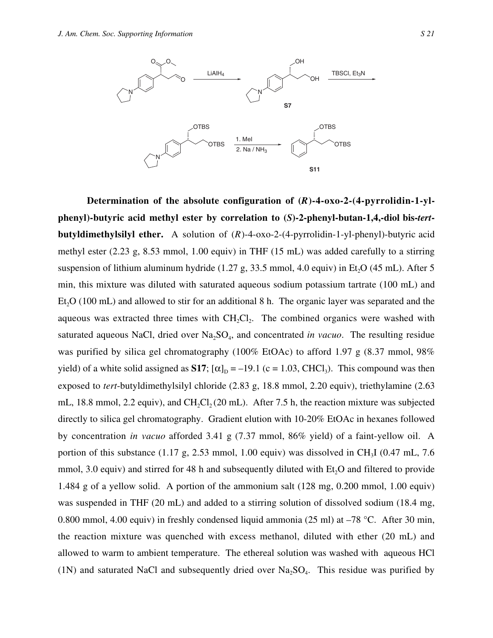

Determination of the absolute configuration of  $(R)$ -4-oxo-2- $(4$ -pyrrolidin-1-yl**phenyl)-butyric acid methyl ester by correlation to (***S***)-2-phenyl-butan-1,4,-diol bis-***tert***butyldimethylsilyl ether.** A solution of (*R*)-4-oxo-2-(4-pyrrolidin-1-yl-phenyl)-butyric acid methyl ester (2.23 g, 8.53 mmol, 1.00 equiv) in THF (15 mL) was added carefully to a stirring suspension of lithium aluminum hydride  $(1.27 \text{ g}, 33.5 \text{ mmol}, 4.0 \text{ equiv})$  in Et<sub>2</sub>O  $(45 \text{ mL})$ . After 5 min, this mixture was diluted with saturated aqueous sodium potassium tartrate (100 mL) and  $Et<sub>2</sub>O$  (100 mL) and allowed to stir for an additional 8 h. The organic layer was separated and the aqueous was extracted three times with  $CH_2Cl_2$ . The combined organics were washed with saturated aqueous NaCl, dried over  $Na<sub>2</sub>SO<sub>4</sub>$ , and concentrated *in vacuo*. The resulting residue was purified by silica gel chromatography (100% EtOAc) to afford 1.97 g (8.37 mmol, 98% yield) of a white solid assigned as **S17**;  $[\alpha]_D = -19.1$  (c = 1.03, CHCl<sub>3</sub>). This compound was then exposed to *tert*-butyldimethylsilyl chloride (2.83 g, 18.8 mmol, 2.20 equiv), triethylamine (2.63 mL, 18.8 mmol, 2.2 equiv), and CH<sub>2</sub>Cl<sub>2</sub> (20 mL). After 7.5 h, the reaction mixture was subjected directly to silica gel chromatography. Gradient elution with 10-20% EtOAc in hexanes followed by concentration *in vacuo* afforded 3.41 g (7.37 mmol, 86% yield) of a faint-yellow oil. A portion of this substance  $(1.17 \text{ g}, 2.53 \text{ mmol}, 1.00 \text{ equiv})$  was dissolved in CH<sub>3</sub>I  $(0.47 \text{ mL}, 7.6 \text{ m})$ mmol, 3.0 equiv) and stirred for 48 h and subsequently diluted with  $Et<sub>2</sub>O$  and filtered to provide 1.484 g of a yellow solid. A portion of the ammonium salt (128 mg, 0.200 mmol, 1.00 equiv) was suspended in THF (20 mL) and added to a stirring solution of dissolved sodium (18.4 mg, 0.800 mmol, 4.00 equiv) in freshly condensed liquid ammonia (25 ml) at –78 °C. After 30 min, the reaction mixture was quenched with excess methanol, diluted with ether (20 mL) and allowed to warm to ambient temperature. The ethereal solution was washed with aqueous HCl (1N) and saturated NaCl and subsequently dried over  $Na<sub>2</sub>SO<sub>4</sub>$ . This residue was purified by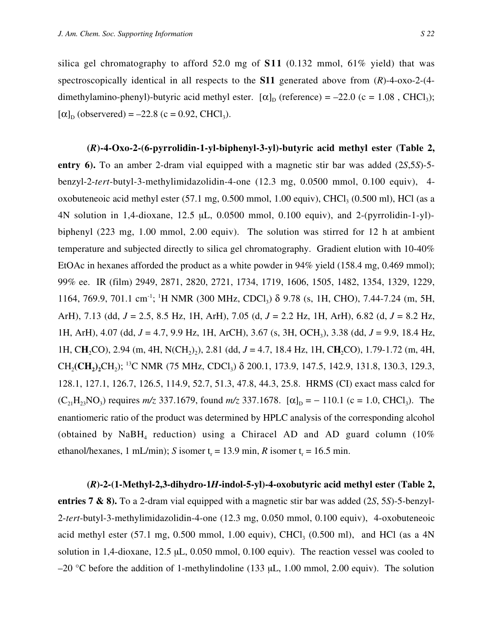silica gel chromatography to afford 52.0 mg of  $S11$  (0.132 mmol, 61% yield) that was spectroscopically identical in all respects to the **S11** generated above from (*R*)-4-oxo-2-(4 dimethylamino-phenyl)-butyric acid methyl ester.  $[\alpha]_D$  (reference) = -22.0 (c = 1.08, CHCl<sub>3</sub>);  $[\alpha]_D$  (observered) = -22.8 (c = 0.92, CHCl<sub>3</sub>).

**(***R***)-4-Oxo-2-(6-pyrrolidin-1-yl-biphenyl-3-yl)-butyric acid methyl ester (Table 2, entry 6).** To an amber 2-dram vial equipped with a magnetic stir bar was added (2*S*,5*S*)-5 benzyl-2-*tert*-butyl-3-methylimidazolidin-4-one (12.3 mg, 0.0500 mmol, 0.100 equiv), 4 oxobuteneoic acid methyl ester  $(57.1 \text{ mg}, 0.500 \text{ mmol}, 1.00 \text{ equiv})$ , CHCl<sub>3</sub>  $(0.500 \text{ ml})$ , HCl (as a 4N solution in 1,4-dioxane, 12.5 µL, 0.0500 mmol, 0.100 equiv), and 2-(pyrrolidin-1-yl) biphenyl (223 mg, 1.00 mmol, 2.00 equiv). The solution was stirred for 12 h at ambient temperature and subjected directly to silica gel chromatography. Gradient elution with 10-40% EtOAc in hexanes afforded the product as a white powder in 94% yield (158.4 mg, 0.469 mmol); 99% ee. IR (film) 2949, 2871, 2820, 2721, 1734, 1719, 1606, 1505, 1482, 1354, 1329, 1229, 1164, 769.9, 701.1 cm<sup>-1</sup>; <sup>1</sup>H NMR (300 MHz, CDCl<sub>3</sub>)  $\delta$  9.78 (s, 1H, CHO), 7.44-7.24 (m, 5H, ArH), 7.13 (dd, *J* = 2.5, 8.5 Hz, 1H, ArH), 7.05 (d, *J* = 2.2 Hz, 1H, ArH), 6.82 (d, *J* = 8.2 Hz, 1H, ArH), 4.07 (dd, *J* = 4.7, 9.9 Hz, 1H, ArCH), 3.67 (s, 3H, OCH3), 3.38 (dd, *J* = 9.9, 18.4 Hz, 1H, CH<sub>2</sub>CO), 2.94 (m, 4H, N(CH<sub>2</sub>)<sub>2</sub>), 2.81 (dd, *J* = 4.7, 18.4 Hz, 1H, CH<sub>2</sub>CO), 1.79-1.72 (m, 4H, CH<sub>2</sub>(CH<sub>2</sub>)<sub>2</sub>CH<sub>2</sub>); <sup>13</sup>C NMR (75 MHz, CDCl<sub>3</sub>) δ 200.1, 173.9, 147.5, 142.9, 131.8, 130.3, 129.3, 128.1, 127.1, 126.7, 126.5, 114.9, 52.7, 51.3, 47.8, 44.3, 25.8. HRMS (CI) exact mass calcd for  $(C_{21}H_{23}NO_3)$  requires  $m/z$  337.1679, found  $m/z$  337.1678.  $[\alpha]_D = -110.1$  (c = 1.0, CHCl<sub>3</sub>). The enantiomeric ratio of the product was determined by HPLC analysis of the corresponding alcohol (obtained by NaBH<sub>4</sub> reduction) using a Chiracel AD and AD guard column  $(10\%$ ethanol/hexanes, 1 mL/min); *S* isomer  $t_r = 13.9$  min, *R* isomer  $t_r = 16.5$  min.

**(***R***)-2-(1-Methyl-2,3-dihydro-1***H***-indol-5-yl)-4-oxobutyric acid methyl ester (Table 2, entries 7 & 8).** To a 2-dram vial equipped with a magnetic stir bar was added (2*S*, 5*S*)-5-benzyl-2-*tert*-butyl-3-methylimidazolidin-4-one (12.3 mg, 0.050 mmol, 0.100 equiv), 4-oxobuteneoic acid methyl ester  $(57.1 \text{ mg}, 0.500 \text{ mmol}, 1.00 \text{ equiv})$ , CHCl<sub>3</sub>  $(0.500 \text{ ml})$ , and HCl (as a 4N solution in 1,4-dioxane, 12.5 µL, 0.050 mmol, 0.100 equiv). The reaction vessel was cooled to  $-20$  °C before the addition of 1-methylindoline (133 µL, 1.00 mmol, 2.00 equiv). The solution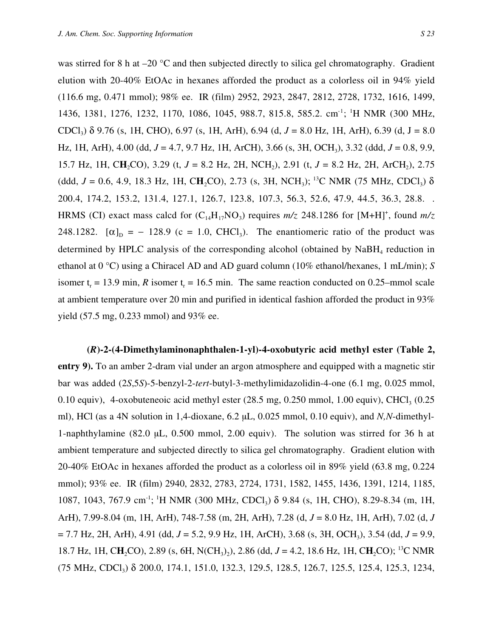was stirred for 8 h at  $-20$  °C and then subjected directly to silica gel chromatography. Gradient elution with 20-40% EtOAc in hexanes afforded the product as a colorless oil in 94% yield (116.6 mg, 0.471 mmol); 98% ee. IR (film) 2952, 2923, 2847, 2812, 2728, 1732, 1616, 1499, 1436, 1381, 1276, 1232, 1170, 1086, 1045, 988.7, 815.8, 585.2. cm<sup>-1</sup>; <sup>1</sup>H NMR (300 MHz, CDCl3) δ 9.76 (s, 1H, CHO), 6.97 (s, 1H, ArH), 6.94 (d, *J* = 8.0 Hz, 1H, ArH), 6.39 (d, J = 8.0 Hz, 1H, ArH), 4.00 (dd, *J* = 4.7, 9.7 Hz, 1H, ArCH), 3.66 (s, 3H, OCH3), 3.32 (ddd, *J* = 0.8, 9.9, 15.7 Hz, 1H, CH<sub>2</sub>CO), 3.29 (t,  $J = 8.2$  Hz, 2H, NCH<sub>2</sub>), 2.91 (t,  $J = 8.2$  Hz, 2H, ArCH<sub>2</sub>), 2.75 (ddd,  $J = 0.6$ , 4.9, 18.3 Hz, 1H, CH<sub>2</sub>CO), 2.73 (s, 3H, NCH<sub>3</sub>); <sup>13</sup>C NMR (75 MHz, CDCl<sub>3</sub>)  $\delta$ 200.4, 174.2, 153.2, 131.4, 127.1, 126.7, 123.8, 107.3, 56.3, 52.6, 47.9, 44.5, 36.3, 28.8. . HRMS (CI) exact mass calcd for  $(C_{14}H_{17}NO_3)$  requires  $m/z$  248.1286 for [M+H]<sup>+</sup>, found  $m/z$ 248.1282.  $[\alpha]_D = -128.9$  (c = 1.0, CHCl<sub>3</sub>). The enantiomeric ratio of the product was determined by HPLC analysis of the corresponding alcohol (obtained by  $N_aBH_a$  reduction in ethanol at 0 °C) using a Chiracel AD and AD guard column (10% ethanol/hexanes, 1 mL/min); *S* isomer  $t_r = 13.9$  min, *R* isomer  $t_r = 16.5$  min. The same reaction conducted on 0.25–mmol scale at ambient temperature over 20 min and purified in identical fashion afforded the product in 93% yield (57.5 mg, 0.233 mmol) and 93% ee.

**(***R***)-2-(4-Dimethylaminonaphthalen-1-yl)-4-oxobutyric acid methyl ester (Table 2, entry 9).** To an amber 2-dram vial under an argon atmosphere and equipped with a magnetic stir bar was added (2*S*,5*S*)-5-benzyl-2-*tert*-butyl-3-methylimidazolidin-4-one (6.1 mg, 0.025 mmol, 0.10 equiv), 4-oxobuteneoic acid methyl ester  $(28.5 \text{ mg}, 0.250 \text{ mmol}, 1.00 \text{ equiv})$ , CHCl<sub>3</sub>  $(0.25 \text{ mmol}, 1.00 \text{ equiv})$ ml), HCl (as a 4N solution in 1,4-dioxane, 6.2 µL, 0.025 mmol, 0.10 equiv), and *N,N*-dimethyl-1-naphthylamine (82.0 µL, 0.500 mmol, 2.00 equiv). The solution was stirred for 36 h at ambient temperature and subjected directly to silica gel chromatography. Gradient elution with 20-40% EtOAc in hexanes afforded the product as a colorless oil in 89% yield (63.8 mg, 0.224 mmol); 93% ee. IR (film) 2940, 2832, 2783, 2724, 1731, 1582, 1455, 1436, 1391, 1214, 1185, 1087, 1043, 767.9 cm<sup>-1</sup>; <sup>1</sup>H NMR (300 MHz, CDCl<sub>3</sub>) δ 9.84 (s, 1H, CHO), 8.29-8.34 (m, 1H, ArH), 7.99-8.04 (m, 1H, ArH), 748-7.58 (m, 2H, ArH), 7.28 (d, *J* = 8.0 Hz, 1H, ArH), 7.02 (d, *J* = 7.7 Hz, 2H, ArH), 4.91 (dd, *J* = 5.2, 9.9 Hz, 1H, ArCH), 3.68 (s, 3H, OCH3), 3.54 (dd, *J* = 9.9, 18.7 Hz, 1H, CH<sub>2</sub>CO), 2.89 (s, 6H, N(CH<sub>3</sub>)<sub>2</sub>), 2.86 (dd, *J* = 4.2, 18.6 Hz, 1H, CH<sub>2</sub>CO); <sup>13</sup>C NMR  $(75 \text{ MHz}, \text{CDCl}_3)$  δ 200.0, 174.1, 151.0, 132.3, 129.5, 128.5, 126.7, 125.5, 125.4, 125.3, 1234,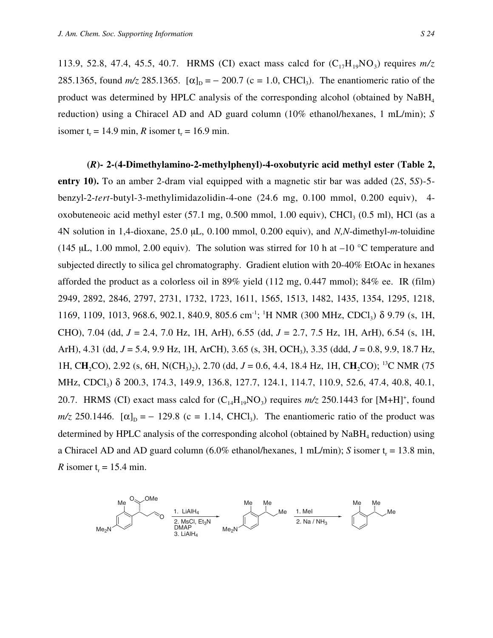113.9, 52.8, 47.4, 45.5, 40.7. HRMS (CI) exact mass calcd for  $(C_{17}H_{19}NO_3)$  requires  $m/z$ 285.1365, found  $m/z$  285.1365.  $[\alpha]_D = -200.7$  (c = 1.0, CHCl<sub>3</sub>). The enantiomeric ratio of the product was determined by HPLC analysis of the corresponding alcohol (obtained by  $N_{a}BH_{a}$ reduction) using a Chiracel AD and AD guard column (10% ethanol/hexanes, 1 mL/min); *S* isomer  $t_r = 14.9$  min, *R* isomer  $t_r = 16.9$  min.

**(***R***)- 2-(4-Dimethylamino-2-methylphenyl)-4-oxobutyric acid methyl ester (Table 2, entry 10).** To an amber 2-dram vial equipped with a magnetic stir bar was added (2*S*, 5*S*)-5 benzyl-2-*tert*-butyl-3-methylimidazolidin-4-one (24.6 mg, 0.100 mmol, 0.200 equiv), 4 oxobuteneoic acid methyl ester  $(57.1 \text{ mg}, 0.500 \text{ mmol}, 1.00 \text{ equiv})$ , CHCl<sub>3</sub>  $(0.5 \text{ ml})$ , HCl (as a 4N solution in 1,4-dioxane, 25.0 µL, 0.100 mmol, 0.200 equiv), and *N,N*-dimethyl-*m*-toluidine (145 µL, 1.00 mmol, 2.00 equiv). The solution was stirred for 10 h at  $-10$  °C temperature and subjected directly to silica gel chromatography. Gradient elution with 20-40% EtOAc in hexanes afforded the product as a colorless oil in 89% yield (112 mg, 0.447 mmol); 84% ee. IR (film) 2949, 2892, 2846, 2797, 2731, 1732, 1723, 1611, 1565, 1513, 1482, 1435, 1354, 1295, 1218, 1169, 1109, 1013, 968.6, 902.1, 840.9, 805.6 cm<sup>-1</sup>; <sup>1</sup>H NMR (300 MHz, CDCl<sub>3</sub>) δ 9.79 (s, 1H, CHO), 7.04 (dd, *J* = 2.4, 7.0 Hz, 1H, ArH), 6.55 (dd, *J* = 2.7, 7.5 Hz, 1H, ArH), 6.54 (s, 1H, ArH), 4.31 (dd, *J* = 5.4, 9.9 Hz, 1H, ArCH), 3.65 (s, 3H, OCH3), 3.35 (ddd, *J* = 0.8, 9.9, 18.7 Hz, 1H, CH<sub>2</sub>CO), 2.92 (s, 6H, N(CH<sub>3</sub>)<sub>2</sub>), 2.70 (dd, *J* = 0.6, 4.4, 18.4 Hz, 1H, CH<sub>2</sub>CO); <sup>13</sup>C NMR (75 MHz, CDCl<sub>3</sub>) δ 200.3, 174.3, 149.9, 136.8, 127.7, 124.1, 114.7, 110.9, 52.6, 47.4, 40.8, 40.1, 20.7. HRMS (CI) exact mass calcd for  $(C_{14}H_{19}NO_3)$  requires  $m/z$  250.1443 for [M+H]<sup>+</sup>, found  $m/z$  250.1446.  $[\alpha]_D = -129.8$  (c = 1.14, CHCl<sub>3</sub>). The enantiomeric ratio of the product was determined by HPLC analysis of the corresponding alcohol (obtained by  $N$ aBH<sub>4</sub> reduction) using a Chiracel AD and AD guard column  $(6.0\%$  ethanol/hexanes, 1 mL/min); *S* isomer t<sub>r</sub> = 13.8 min, *R* isomer  $t_r = 15.4$  min.

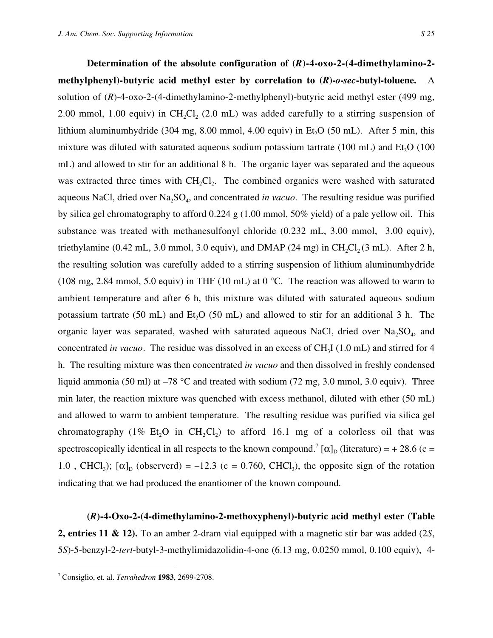**Determination of the absolute configuration of (***R***)-4-oxo-2-(4-dimethylamino-2 methylphenyl)-butyric acid methyl ester by correlation to (***R***)-***o***-***sec***-butyl-toluene.** A solution of (*R*)-4-oxo-2-(4-dimethylamino-2-methylphenyl)-butyric acid methyl ester (499 mg, 2.00 mmol, 1.00 equiv) in CH<sub>2</sub>Cl<sub>2</sub> (2.0 mL) was added carefully to a stirring suspension of lithium aluminumhydride (304 mg, 8.00 mmol, 4.00 equiv) in Et<sub>0</sub>O (50 mL). After 5 min, this mixture was diluted with saturated aqueous sodium potassium tartrate  $(100 \text{ mL})$  and Et<sub>2</sub>O  $(100 \text{ Hz})$ mL) and allowed to stir for an additional 8 h. The organic layer was separated and the aqueous was extracted three times with  $CH_2Cl_2$ . The combined organics were washed with saturated aqueous NaCl, dried over Na<sub>2</sub>SO<sub>4</sub>, and concentrated *in vacuo*. The resulting residue was purified by silica gel chromatography to afford 0.224 g (1.00 mmol, 50% yield) of a pale yellow oil. This substance was treated with methanesulfonyl chloride (0.232 mL, 3.00 mmol, 3.00 equiv), triethylamine (0.42 mL, 3.0 mmol, 3.0 equiv), and DMAP (24 mg) in  $CH_2Cl_2(3 \text{ mL})$ . After 2 h, the resulting solution was carefully added to a stirring suspension of lithium aluminumhydride (108 mg, 2.84 mmol, 5.0 equiv) in THF (10 mL) at 0  $^{\circ}$ C. The reaction was allowed to warm to ambient temperature and after 6 h, this mixture was diluted with saturated aqueous sodium potassium tartrate (50 mL) and  $Et<sub>2</sub>O$  (50 mL) and allowed to stir for an additional 3 h. The organic layer was separated, washed with saturated aqueous NaCl, dried over  $Na<sub>2</sub>SO<sub>4</sub>$ , and concentrated *in vacuo*. The residue was dissolved in an excess of CH<sub>3</sub>I (1.0 mL) and stirred for 4 h. The resulting mixture was then concentrated *in vacuo* and then dissolved in freshly condensed liquid ammonia (50 ml) at  $-78$  °C and treated with sodium (72 mg, 3.0 mmol, 3.0 equiv). Three min later, the reaction mixture was quenched with excess methanol, diluted with ether (50 mL) and allowed to warm to ambient temperature. The resulting residue was purified via silica gel chromatography (1% Et<sub>2</sub>O in CH<sub>2</sub>Cl<sub>2</sub>) to afford 16.1 mg of a colorless oil that was spectroscopically identical in all respects to the known compound.<sup>7</sup> [ $\alpha$ ]<sub>D</sub> (literature) = + 28.6 (c = 1.0, CHCl<sub>3</sub>);  $[\alpha]_D$  (observerd) = -12.3 (c = 0.760, CHCl<sub>3</sub>), the opposite sign of the rotation indicating that we had produced the enantiomer of the known compound.

**(***R***)-4-Oxo-2-(4-dimethylamino-2-methoxyphenyl)-butyric acid methyl ester (Table 2, entries 11 & 12).** To an amber 2-dram vial equipped with a magnetic stir bar was added (2*S*, 5*S*)-5-benzyl-2-*tert*-butyl-3-methylimidazolidin-4-one (6.13 mg, 0.0250 mmol, 0.100 equiv), 4-

 $\frac{1}{7}$ Consiglio, et. al. *Tetrahedron* **1983**, 2699-2708.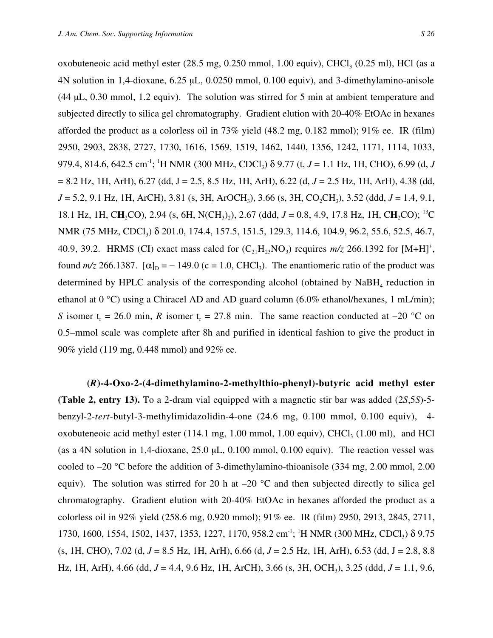oxobuteneoic acid methyl ester  $(28.5 \text{ mg}, 0.250 \text{ mmol}, 1.00 \text{ equiv})$ , CHCl<sub>3</sub>  $(0.25 \text{ ml})$ , HCl (as a 4N solution in 1,4-dioxane, 6.25 µL, 0.0250 mmol, 0.100 equiv), and 3-dimethylamino-anisole (44 µL, 0.30 mmol, 1.2 equiv). The solution was stirred for 5 min at ambient temperature and subjected directly to silica gel chromatography. Gradient elution with 20-40% EtOAc in hexanes afforded the product as a colorless oil in 73% yield (48.2 mg, 0.182 mmol); 91% ee. IR (film) 2950, 2903, 2838, 2727, 1730, 1616, 1569, 1519, 1462, 1440, 1356, 1242, 1171, 1114, 1033, 979.4, 814.6, 642.5 cm-1; 1 H NMR (300 MHz, CDCl3) δ 9.77 (t, *J* = 1.1 Hz, 1H, CHO), 6.99 (d, *J* = 8.2 Hz, 1H, ArH), 6.27 (dd, J = 2.5, 8.5 Hz, 1H, ArH), 6.22 (d, *J* = 2.5 Hz, 1H, ArH), 4.38 (dd, *J* = 5.2, 9.1 Hz, 1H, ArCH), 3.81 (s, 3H, ArOCH<sub>3</sub>), 3.66 (s, 3H, CO<sub>2</sub>CH<sub>3</sub>), 3.52 (ddd, *J* = 1.4, 9.1, 18.1 Hz, 1H, CH<sub>2</sub>CO), 2.94 (s, 6H, N(CH<sub>3</sub>)<sub>2</sub>), 2.67 (ddd, *J* = 0.8, 4.9, 17.8 Hz, 1H, CH<sub>2</sub>CO); <sup>13</sup>C NMR (75 MHz, CDCl<sub>3</sub>) δ 201.0, 174.4, 157.5, 151.5, 129.3, 114.6, 104.9, 96.2, 55.6, 52.5, 46.7, 40.9, 39.2. HRMS (CI) exact mass calcd for  $(C_{21}H_{23}NO_3)$  requires  $m/z$  266.1392 for [M+H]<sup>+</sup>, found  $m/z$  266.1387.  $[\alpha]_D = -149.0$  (c = 1.0, CHCl<sub>3</sub>). The enantiomeric ratio of the product was determined by HPLC analysis of the corresponding alcohol (obtained by  $N_aBH_a$  reduction in ethanol at  $0^{\circ}$ C) using a Chiracel AD and AD guard column (6.0% ethanol/hexanes, 1 mL/min); *S* isomer t<sub>r</sub> = 26.0 min, *R* isomer t<sub>r</sub> = 27.8 min. The same reaction conducted at –20 °C on 0.5–mmol scale was complete after 8h and purified in identical fashion to give the product in 90% yield (119 mg, 0.448 mmol) and 92% ee.

**(***R***)-4-Oxo-2-(4-dimethylamino-2-methylthio-phenyl)-butyric acid methyl ester (Table 2, entry 13).** To a 2-dram vial equipped with a magnetic stir bar was added (2*S*,5*S*)-5 benzyl-2-*tert*-butyl-3-methylimidazolidin-4-one (24.6 mg, 0.100 mmol, 0.100 equiv), 4 oxobuteneoic acid methyl ester  $(114.1 \text{ mg}, 1.00 \text{ mmol}, 1.00 \text{ equiv})$ , CHCl<sub>3</sub>  $(1.00 \text{ ml})$ , and HCl (as a 4N solution in 1,4-dioxane, 25.0 µL, 0.100 mmol, 0.100 equiv). The reaction vessel was cooled to –20 °C before the addition of 3-dimethylamino-thioanisole (334 mg, 2.00 mmol, 2.00 equiv). The solution was stirred for 20 h at  $-20$  °C and then subjected directly to silica gel chromatography. Gradient elution with 20-40% EtOAc in hexanes afforded the product as a colorless oil in 92% yield (258.6 mg, 0.920 mmol); 91% ee. IR (film) 2950, 2913, 2845, 2711, 1730, 1600, 1554, 1502, 1437, 1353, 1227, 1170, 958.2 cm<sup>-1</sup>; <sup>1</sup>H NMR (300 MHz, CDCl<sub>3</sub>) δ 9.75 (s, 1H, CHO), 7.02 (d, *J* = 8.5 Hz, 1H, ArH), 6.66 (d, *J* = 2.5 Hz, 1H, ArH), 6.53 (dd, J = 2.8, 8.8 Hz, 1H, ArH), 4.66 (dd, *J* = 4.4, 9.6 Hz, 1H, ArCH), 3.66 (s, 3H, OCH3), 3.25 (ddd, *J* = 1.1, 9.6,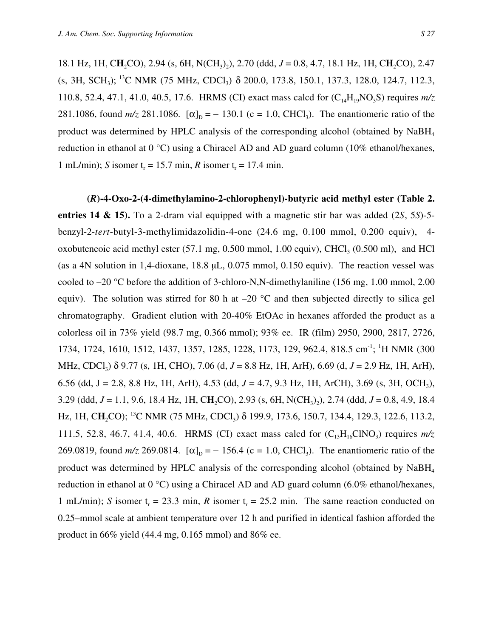18.1 Hz, 1H, CH<sub>2</sub>CO), 2.94 (s, 6H, N(CH<sub>3</sub>)<sub>2</sub>), 2.70 (ddd, *J* = 0.8, 4.7, 18.1 Hz, 1H, CH<sub>2</sub>CO), 2.47  $(S, 3H, SCH<sub>3</sub>)$ ; <sup>13</sup>C NMR (75 MHz, CDCl<sub>3</sub>)  $\delta$  200.0, 173.8, 150.1, 137.3, 128.0, 124.7, 112.3, 110.8, 52.4, 47.1, 41.0, 40.5, 17.6. HRMS (CI) exact mass calcd for  $(C_{14}H_{19}NO_3S)$  requires  $m/z$ 281.1086, found  $m/z$  281.1086.  $[\alpha]_D = -130.1$  (c = 1.0, CHCl<sub>3</sub>). The enantiomeric ratio of the product was determined by HPLC analysis of the corresponding alcohol (obtained by NaBH<sub>4</sub> reduction in ethanol at 0 °C) using a Chiracel AD and AD guard column (10% ethanol/hexanes, 1 mL/min); *S* isomer  $t_r = 15.7$  min, *R* isomer  $t_r = 17.4$  min.

**(***R***)-4-Oxo-2-(4-dimethylamino-2-chlorophenyl)-butyric acid methyl ester (Table 2. entries 14 & 15).** To a 2-dram vial equipped with a magnetic stir bar was added (2*S*, 5*S*)-5 benzyl-2-*tert*-butyl-3-methylimidazolidin-4-one (24.6 mg, 0.100 mmol, 0.200 equiv), 4 oxobuteneoic acid methyl ester  $(57.1 \text{ mg}, 0.500 \text{ mmol}, 1.00 \text{ equiv})$ , CHCl<sub>3</sub>  $(0.500 \text{ ml})$ , and HCl (as a 4N solution in 1,4-dioxane, 18.8 µL, 0.075 mmol, 0.150 equiv). The reaction vessel was cooled to –20 °C before the addition of 3-chloro-N,N-dimethylaniline (156 mg, 1.00 mmol, 2.00 equiv). The solution was stirred for 80 h at  $-20$  °C and then subjected directly to silica gel chromatography. Gradient elution with 20-40% EtOAc in hexanes afforded the product as a colorless oil in 73% yield (98.7 mg, 0.366 mmol); 93% ee. IR (film) 2950, 2900, 2817, 2726, 1734, 1724, 1610, 1512, 1437, 1357, 1285, 1228, 1173, 129, 962.4, 818.5 cm<sup>-1</sup>; <sup>1</sup>H NMR (300 MHz, CDCl3) δ 9.77 (s, 1H, CHO), 7.06 (d, *J* = 8.8 Hz, 1H, ArH), 6.69 (d, *J* = 2.9 Hz, 1H, ArH), 6.56 (dd, J = 2.8, 8.8 Hz, 1H, ArH), 4.53 (dd, *J* = 4.7, 9.3 Hz, 1H, ArCH), 3.69 (s, 3H, OCH3), 3.29 (ddd,  $J = 1.1$ , 9.6, 18.4 Hz, 1H, CH<sub>2</sub>CO), 2.93 (s, 6H, N(CH<sub>3</sub>)<sub>2</sub>), 2.74 (ddd,  $J = 0.8$ , 4.9, 18.4 Hz, 1H, CH<sub>2</sub>CO); <sup>13</sup>C NMR (75 MHz, CDCl<sub>3</sub>) δ 199.9, 173.6, 150.7, 134.4, 129.3, 122.6, 113.2, 111.5, 52.8, 46.7, 41.4, 40.6. HRMS (CI) exact mass calcd for  $(C_{13}H_{16}CINO_3)$  requires  $m/z$ 269.0819, found  $m/z$  269.0814.  $[\alpha]_D = -156.4$  (c = 1.0, CHCl<sub>3</sub>). The enantiomeric ratio of the product was determined by HPLC analysis of the corresponding alcohol (obtained by  $NabH_4$ ) reduction in ethanol at 0 °C) using a Chiracel AD and AD guard column (6.0% ethanol/hexanes, 1 mL/min); *S* isomer  $t_r = 23.3$  min, *R* isomer  $t_r = 25.2$  min. The same reaction conducted on 0.25–mmol scale at ambient temperature over 12 h and purified in identical fashion afforded the product in 66% yield (44.4 mg, 0.165 mmol) and 86% ee.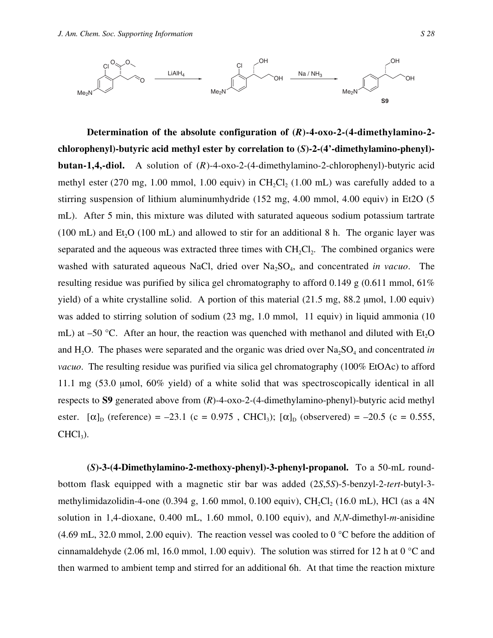

**Determination of the absolute configuration of (***R***)-4-oxo-2-(4-dimethylamino-2 chlorophenyl)-butyric acid methyl ester by correlation to (***S***)-2-(4'-dimethylamino-phenyl) butan-1,4,-diol.** A solution of (*R*)-4-oxo-2-(4-dimethylamino-2-chlorophenyl)-butyric acid methyl ester (270 mg, 1.00 mmol, 1.00 equiv) in CH<sub>2</sub>Cl<sub>2</sub> (1.00 mL) was carefully added to a stirring suspension of lithium aluminumhydride (152 mg, 4.00 mmol, 4.00 equiv) in Et2O (5 mL). After 5 min, this mixture was diluted with saturated aqueous sodium potassium tartrate (100 mL) and  $Et<sub>2</sub>O$  (100 mL) and allowed to stir for an additional 8 h. The organic layer was separated and the aqueous was extracted three times with  $CH_2Cl_2$ . The combined organics were washed with saturated aqueous NaCl, dried over Na<sub>2</sub>SO<sub>4</sub>, and concentrated *in vacuo*. The resulting residue was purified by silica gel chromatography to afford 0.149 g  $(0.611 \text{ mmol}, 61\%)$ yield) of a white crystalline solid. A portion of this material (21.5 mg, 88.2 µmol, 1.00 equiv) was added to stirring solution of sodium (23 mg, 1.0 mmol, 11 equiv) in liquid ammonia (10 mL) at –50 °C. After an hour, the reaction was quenched with methanol and diluted with Et<sub>2</sub>O and H<sub>2</sub>O. The phases were separated and the organic was dried over  $Na<sub>2</sub>SO<sub>4</sub>$  and concentrated *in vacuo*. The resulting residue was purified via silica gel chromatography (100% EtOAc) to afford 11.1 mg (53.0 µmol, 60% yield) of a white solid that was spectroscopically identical in all respects to **S9** generated above from (*R*)-4-oxo-2-(4-dimethylamino-phenyl)-butyric acid methyl ester.  $[\alpha]_D$  (reference) = -23.1 (c = 0.975, CHCl<sub>3</sub>);  $[\alpha]_D$  (observered) = -20.5 (c = 0.555,  $CHCl<sub>3</sub>$ ).

**(***S***)-3-(4-Dimethylamino-2-methoxy-phenyl)-3-phenyl-propanol.** To a 50-mL roundbottom flask equipped with a magnetic stir bar was added (2*S*,5*S*)-5-benzyl-2-*tert*-butyl-3 methylimidazolidin-4-one  $(0.394 \text{ g}, 1.60 \text{ mmol}, 0.100 \text{ equiv})$ , CH<sub>2</sub>Cl<sub>2</sub> (16.0 mL), HCl (as a 4N solution in 1,4-dioxane, 0.400 mL, 1.60 mmol, 0.100 equiv), and *N,N*-dimethyl-*m*-anisidine (4.69 mL, 32.0 mmol, 2.00 equiv). The reaction vessel was cooled to 0  $\degree$ C before the addition of cinnamaldehyde (2.06 ml, 16.0 mmol, 1.00 equiv). The solution was stirred for 12 h at 0 °C and then warmed to ambient temp and stirred for an additional 6h. At that time the reaction mixture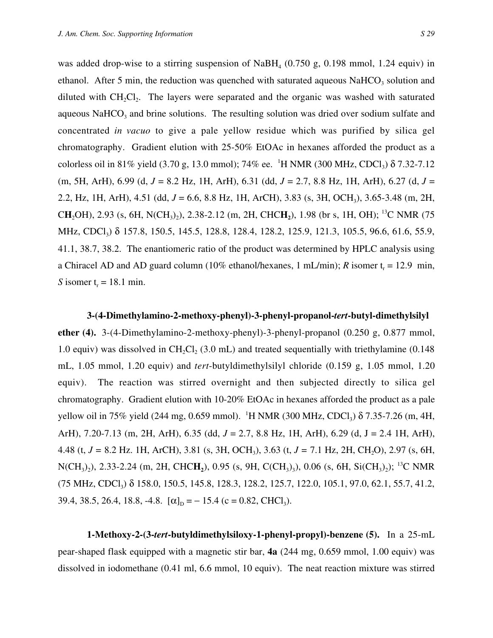was added drop-wise to a stirring suspension of NaBH<sub>4</sub> (0.750 g, 0.198 mmol, 1.24 equiv) in ethanol. After 5 min, the reduction was quenched with saturated aqueous NaHCO<sub>3</sub> solution and diluted with  $CH<sub>2</sub>Cl<sub>2</sub>$ . The layers were separated and the organic was washed with saturated aqueous NaHCO<sub>3</sub> and brine solutions. The resulting solution was dried over sodium sulfate and concentrated *in vacuo* to give a pale yellow residue which was purified by silica gel chromatography. Gradient elution with 25-50% EtOAc in hexanes afforded the product as a colorless oil in 81% yield (3.70 g, 13.0 mmol); 74% ee. <sup>1</sup>H NMR (300 MHz, CDCl<sub>3</sub>)  $\delta$  7.32-7.12 (m, 5H, ArH), 6.99 (d, *J* = 8.2 Hz, 1H, ArH), 6.31 (dd, *J* = 2.7, 8.8 Hz, 1H, ArH), 6.27 (d, *J* = 2.2, Hz, 1H, ArH), 4.51 (dd, *J* = 6.6, 8.8 Hz, 1H, ArCH), 3.83 (s, 3H, OCH3), 3.65-3.48 (m, 2H, CH<sub>2</sub>OH), 2.93 (s, 6H, N(CH<sub>3</sub>)<sub>2</sub>), 2.38-2.12 (m, 2H, CHCH<sub>2</sub>), 1.98 (br s, 1H, OH); <sup>13</sup>C NMR (75 MHz, CDCl<sub>3</sub>) δ 157.8, 150.5, 145.5, 128.8, 128.4, 128.2, 125.9, 121.3, 105.5, 96.6, 61.6, 55.9, 41.1, 38.7, 38.2. The enantiomeric ratio of the product was determined by HPLC analysis using a Chiracel AD and AD guard column (10% ethanol/hexanes, 1 mL/min); *R* isomer  $t_r = 12.9$  min, *S* isomer  $t_r = 18.1$  min.

**3-(4-Dimethylamino-2-methoxy-phenyl)-3-phenyl-propanol-***tert***-butyl-dimethylsilyl ether (4).** 3-(4-Dimethylamino-2-methoxy-phenyl)-3-phenyl-propanol (0.250 g, 0.877 mmol, 1.0 equiv) was dissolved in CH<sub>2</sub>Cl<sub>2</sub> (3.0 mL) and treated sequentially with triethylamine (0.148) mL, 1.05 mmol, 1.20 equiv) and *tert*-butyldimethylsilyl chloride (0.159 g, 1.05 mmol, 1.20 equiv). The reaction was stirred overnight and then subjected directly to silica gel chromatography. Gradient elution with 10-20% EtOAc in hexanes afforded the product as a pale yellow oil in 75% yield (244 mg, 0.659 mmol). <sup>1</sup>H NMR (300 MHz, CDCl<sub>3</sub>) δ 7.35-7.26 (m, 4H, ArH), 7.20-7.13 (m, 2H, ArH), 6.35 (dd, *J* = 2.7, 8.8 Hz, 1H, ArH), 6.29 (d, J = 2.4 1H, ArH), 4.48 (t, *J =* 8.2 Hz. 1H, ArCH), 3.81 (s, 3H, OCH3), 3.63 (t, *J =* 7.1 Hz, 2H, CH2O), 2.97 (s, 6H, N(CH<sub>3</sub>)<sub>2</sub>), 2.33-2.24 (m, 2H, CHC**H**<sub>2</sub>), 0.95 (s, 9H, C(CH<sub>3</sub>)<sub>3</sub>), 0.06 (s, 6H, Si(CH<sub>3</sub>)<sub>2</sub>); <sup>13</sup>C NMR (75 MHz, CDCl3) δ 158.0, 150.5, 145.8, 128.3, 128.2, 125.7, 122.0, 105.1, 97.0, 62.1, 55.7, 41.2, 39.4, 38.5, 26.4, 18.8, -4.8.  $[\alpha]_D = -15.4$  (c = 0.82, CHCl<sub>3</sub>).

**1-Methoxy-2-(3-***tert***-butyldimethylsiloxy-1-phenyl-propyl)-benzene (5).** In a 25-mL pear-shaped flask equipped with a magnetic stir bar, **4a** (244 mg, 0.659 mmol, 1.00 equiv) was dissolved in iodomethane (0.41 ml, 6.6 mmol, 10 equiv). The neat reaction mixture was stirred